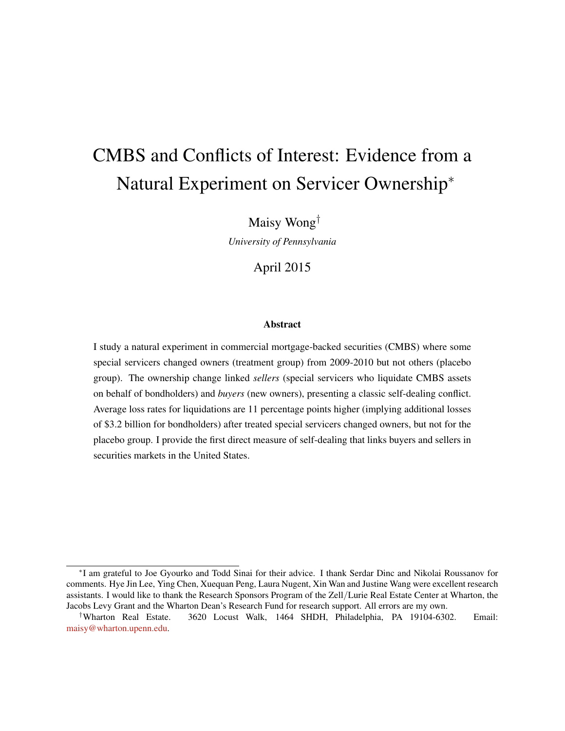# CMBS and Conflicts of Interest: Evidence from a Natural Experiment on Servicer Ownership<sup>∗</sup>

Maisy Wong†

*University of Pennsylvania*

### April 2015

#### Abstract

I study a natural experiment in commercial mortgage-backed securities (CMBS) where some special servicers changed owners (treatment group) from 2009-2010 but not others (placebo group). The ownership change linked *sellers* (special servicers who liquidate CMBS assets on behalf of bondholders) and *buyers* (new owners), presenting a classic self-dealing conflict. Average loss rates for liquidations are 11 percentage points higher (implying additional losses of \$3.2 billion for bondholders) after treated special servicers changed owners, but not for the placebo group. I provide the first direct measure of self-dealing that links buyers and sellers in securities markets in the United States.

∗ I am grateful to Joe Gyourko and Todd Sinai for their advice. I thank Serdar Dinc and Nikolai Roussanov for comments. Hye Jin Lee, Ying Chen, Xuequan Peng, Laura Nugent, Xin Wan and Justine Wang were excellent research assistants. I would like to thank the Research Sponsors Program of the Zell/Lurie Real Estate Center at Wharton, the Jacobs Levy Grant and the Wharton Dean's Research Fund for research support. All errors are my own.

<sup>†</sup>Wharton Real Estate. 3620 Locust Walk, 1464 SHDH, Philadelphia, PA 19104-6302. Email: [maisy@wharton.upenn.edu.](mailto:maisy@wharton.upenn.edu)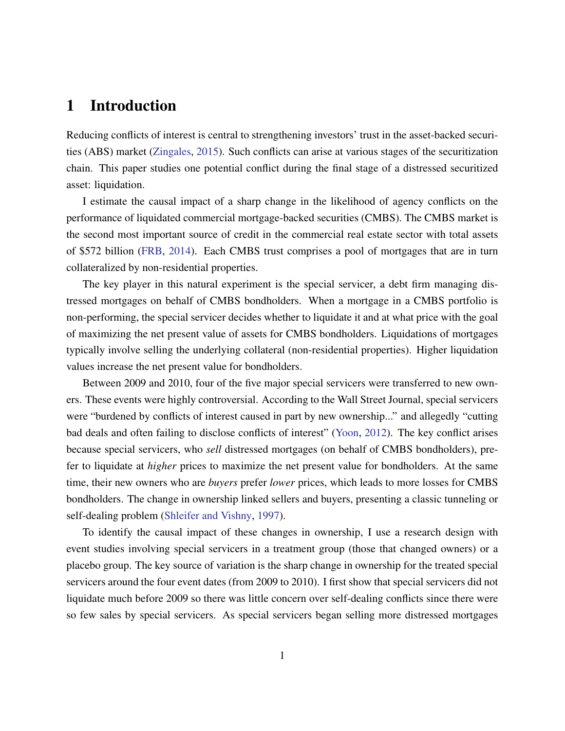# 1 Introduction

Reducing conflicts of interest is central to strengthening investors' trust in the asset-backed securities (ABS) market [\(Zingales,](#page-27-0) [2015\)](#page-27-0). Such conflicts can arise at various stages of the securitization chain. This paper studies one potential conflict during the final stage of a distressed securitized asset: liquidation.

I estimate the causal impact of a sharp change in the likelihood of agency conflicts on the performance of liquidated commercial mortgage-backed securities (CMBS). The CMBS market is the second most important source of credit in the commercial real estate sector with total assets of \$572 billion [\(FRB,](#page-25-0) [2014\)](#page-25-0). Each CMBS trust comprises a pool of mortgages that are in turn collateralized by non-residential properties.

The key player in this natural experiment is the special servicer, a debt firm managing distressed mortgages on behalf of CMBS bondholders. When a mortgage in a CMBS portfolio is non-performing, the special servicer decides whether to liquidate it and at what price with the goal of maximizing the net present value of assets for CMBS bondholders. Liquidations of mortgages typically involve selling the underlying collateral (non-residential properties). Higher liquidation values increase the net present value for bondholders.

Between 2009 and 2010, four of the five major special servicers were transferred to new owners. These events were highly controversial. According to the Wall Street Journal, special servicers were "burdened by conflicts of interest caused in part by new ownership..." and allegedly "cutting bad deals and often failing to disclose conflicts of interest" [\(Yoon,](#page-27-1) [2012\)](#page-27-1). The key conflict arises because special servicers, who *sell* distressed mortgages (on behalf of CMBS bondholders), prefer to liquidate at *higher* prices to maximize the net present value for bondholders. At the same time, their new owners who are *buyers* prefer *lower* prices, which leads to more losses for CMBS bondholders. The change in ownership linked sellers and buyers, presenting a classic tunneling or self-dealing problem [\(Shleifer and Vishny,](#page-26-0) [1997\)](#page-26-0).

To identify the causal impact of these changes in ownership, I use a research design with event studies involving special servicers in a treatment group (those that changed owners) or a placebo group. The key source of variation is the sharp change in ownership for the treated special servicers around the four event dates (from 2009 to 2010). I first show that special servicers did not liquidate much before 2009 so there was little concern over self-dealing conflicts since there were so few sales by special servicers. As special servicers began selling more distressed mortgages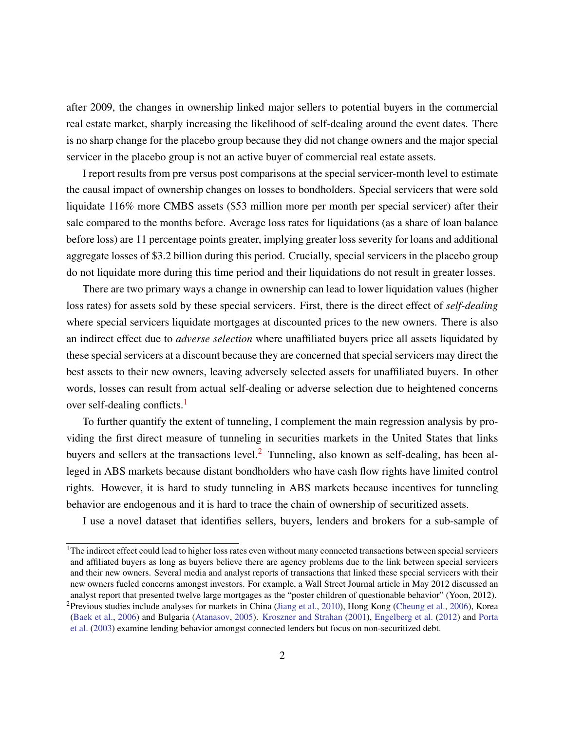after 2009, the changes in ownership linked major sellers to potential buyers in the commercial real estate market, sharply increasing the likelihood of self-dealing around the event dates. There is no sharp change for the placebo group because they did not change owners and the major special servicer in the placebo group is not an active buyer of commercial real estate assets.

I report results from pre versus post comparisons at the special servicer-month level to estimate the causal impact of ownership changes on losses to bondholders. Special servicers that were sold liquidate 116% more CMBS assets (\$53 million more per month per special servicer) after their sale compared to the months before. Average loss rates for liquidations (as a share of loan balance before loss) are 11 percentage points greater, implying greater loss severity for loans and additional aggregate losses of \$3.2 billion during this period. Crucially, special servicers in the placebo group do not liquidate more during this time period and their liquidations do not result in greater losses.

There are two primary ways a change in ownership can lead to lower liquidation values (higher loss rates) for assets sold by these special servicers. First, there is the direct effect of *self-dealing* where special servicers liquidate mortgages at discounted prices to the new owners. There is also an indirect effect due to *adverse selection* where unaffiliated buyers price all assets liquidated by these special servicers at a discount because they are concerned that special servicers may direct the best assets to their new owners, leaving adversely selected assets for unaffiliated buyers. In other words, losses can result from actual self-dealing or adverse selection due to heightened concerns over self-dealing conflicts.<sup>[1](#page-2-0)</sup>

To further quantify the extent of tunneling, I complement the main regression analysis by providing the first direct measure of tunneling in securities markets in the United States that links buyers and sellers at the transactions level.<sup>[2](#page-2-1)</sup> Tunneling, also known as self-dealing, has been alleged in ABS markets because distant bondholders who have cash flow rights have limited control rights. However, it is hard to study tunneling in ABS markets because incentives for tunneling behavior are endogenous and it is hard to trace the chain of ownership of securitized assets.

I use a novel dataset that identifies sellers, buyers, lenders and brokers for a sub-sample of

<span id="page-2-0"></span> $1$ The indirect effect could lead to higher loss rates even without many connected transactions between special servicers and affiliated buyers as long as buyers believe there are agency problems due to the link between special servicers and their new owners. Several media and analyst reports of transactions that linked these special servicers with their new owners fueled concerns amongst investors. For example, a Wall Street Journal article in May 2012 discussed an analyst report that presented twelve large mortgages as the "poster children of questionable behavior" (Yoon, 2012).

<span id="page-2-1"></span><sup>&</sup>lt;sup>2</sup> Previous studies include analyses for markets in China [\(Jiang et al.,](#page-25-1) [2010\)](#page-25-1), Hong Kong [\(Cheung et al.,](#page-24-0) [2006\)](#page-24-0), Korea [\(Baek et al.,](#page-24-1) [2006\)](#page-24-1) and Bulgaria [\(Atanasov,](#page-24-2) [2005\)](#page-24-2). [Kroszner and Strahan](#page-25-2) [\(2001\)](#page-25-2), [Engelberg et al.](#page-25-3) [\(2012\)](#page-25-3) and [Porta](#page-26-1) [et al.](#page-26-1) [\(2003\)](#page-26-1) examine lending behavior amongst connected lenders but focus on non-securitized debt.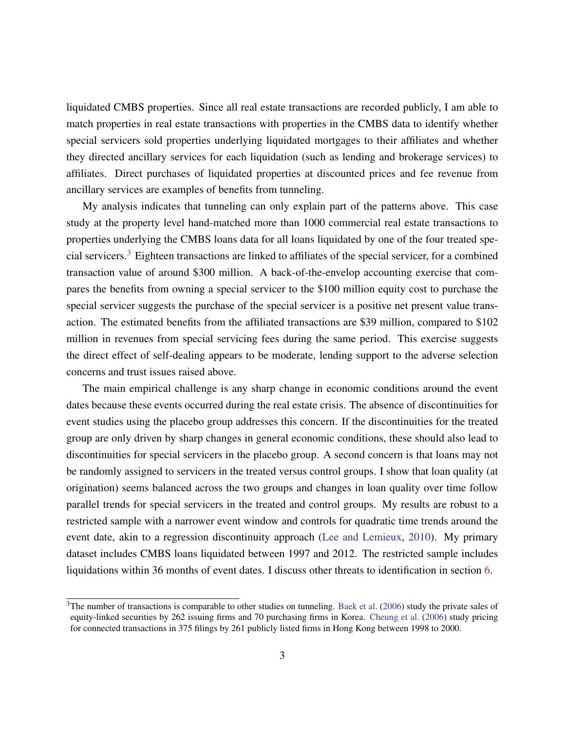liquidated CMBS properties. Since all real estate transactions are recorded publicly, I am able to match properties in real estate transactions with properties in the CMBS data to identify whether special servicers sold properties underlying liquidated mortgages to their affiliates and whether they directed ancillary services for each liquidation (such as lending and brokerage services) to affiliates. Direct purchases of liquidated properties at discounted prices and fee revenue from ancillary services are examples of benefits from tunneling.

My analysis indicates that tunneling can only explain part of the patterns above. This case study at the property level hand-matched more than 1000 commercial real estate transactions to properties underlying the CMBS loans data for all loans liquidated by one of the four treated spe-cial servicers.<sup>[3](#page-3-0)</sup> Eighteen transactions are linked to affiliates of the special servicer, for a combined transaction value of around \$300 million. A back-of-the-envelop accounting exercise that compares the benefits from owning a special servicer to the \$100 million equity cost to purchase the special servicer suggests the purchase of the special servicer is a positive net present value transaction. The estimated benefits from the affiliated transactions are \$39 million, compared to \$102 million in revenues from special servicing fees during the same period. This exercise suggests the direct effect of self-dealing appears to be moderate, lending support to the adverse selection concerns and trust issues raised above.

The main empirical challenge is any sharp change in economic conditions around the event dates because these events occurred during the real estate crisis. The absence of discontinuities for event studies using the placebo group addresses this concern. If the discontinuities for the treated group are only driven by sharp changes in general economic conditions, these should also lead to discontinuities for special servicers in the placebo group. A second concern is that loans may not be randomly assigned to servicers in the treated versus control groups. I show that loan quality (at origination) seems balanced across the two groups and changes in loan quality over time follow parallel trends for special servicers in the treated and control groups. My results are robust to a restricted sample with a narrower event window and controls for quadratic time trends around the event date, akin to a regression discontinuity approach [\(Lee and Lemieux,](#page-26-2) [2010\)](#page-26-2). My primary dataset includes CMBS loans liquidated between 1997 and 2012. The restricted sample includes liquidations within 36 months of event dates. I discuss other threats to identification in section [6.](#page-20-0)

<span id="page-3-0"></span> $3$ The number of transactions is comparable to other studies on tunneling. [Baek et al.](#page-24-1) [\(2006\)](#page-24-1) study the private sales of equity-linked securities by 262 issuing firms and 70 purchasing firms in Korea. [Cheung et al.](#page-24-0) [\(2006\)](#page-24-0) study pricing for connected transactions in 375 filings by 261 publicly listed firms in Hong Kong between 1998 to 2000.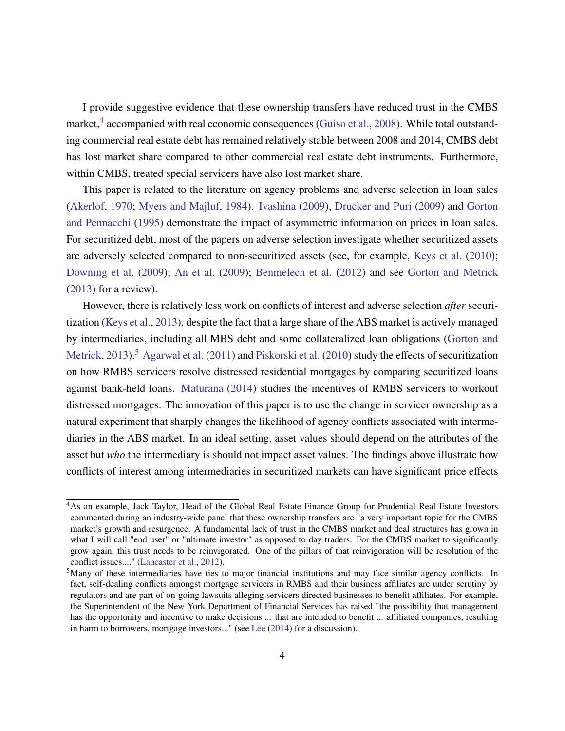I provide suggestive evidence that these ownership transfers have reduced trust in the CMBS market,<sup>[4](#page-4-0)</sup> accompanied with real economic consequences [\(Guiso et al.,](#page-25-4) [2008\)](#page-25-4). While total outstanding commercial real estate debt has remained relatively stable between 2008 and 2014, CMBS debt has lost market share compared to other commercial real estate debt instruments. Furthermore, within CMBS, treated special servicers have also lost market share.

This paper is related to the literature on agency problems and adverse selection in loan sales [\(Akerlof,](#page-24-3) [1970;](#page-24-3) [Myers and Majluf,](#page-26-3) [1984\)](#page-26-3). [Ivashina](#page-25-5) [\(2009\)](#page-25-5), [Drucker and Puri](#page-25-6) [\(2009\)](#page-25-6) and [Gorton](#page-25-7) [and Pennacchi](#page-25-7) [\(1995\)](#page-25-7) demonstrate the impact of asymmetric information on prices in loan sales. For securitized debt, most of the papers on adverse selection investigate whether securitized assets are adversely selected compared to non-securitized assets (see, for example, [Keys et al.](#page-25-8) [\(2010\)](#page-25-8); [Downing et al.](#page-25-9) [\(2009\)](#page-25-9); [An et al.](#page-24-4) [\(2009\)](#page-24-4); [Benmelech et al.](#page-24-5) [\(2012\)](#page-24-5) and see [Gorton and Metrick](#page-25-10) [\(2013\)](#page-25-10) for a review).

However, there is relatively less work on conflicts of interest and adverse selection *after* securitization [\(Keys et al.,](#page-25-11) [2013\)](#page-25-11), despite the fact that a large share of the ABS market is actively managed by intermediaries, including all MBS debt and some collateralized loan obligations [\(Gorton and](#page-25-10) [Metrick,](#page-25-10) [2013\)](#page-25-10).<sup>[5](#page-4-1)</sup> [Agarwal et al.](#page-24-6) [\(2011\)](#page-24-6) and [Piskorski et al.](#page-26-4) [\(2010\)](#page-26-4) study the effects of securitization on how RMBS servicers resolve distressed residential mortgages by comparing securitized loans against bank-held loans. [Maturana](#page-26-5) [\(2014\)](#page-26-5) studies the incentives of RMBS servicers to workout distressed mortgages. The innovation of this paper is to use the change in servicer ownership as a natural experiment that sharply changes the likelihood of agency conflicts associated with intermediaries in the ABS market. In an ideal setting, asset values should depend on the attributes of the asset but *who* the intermediary is should not impact asset values. The findings above illustrate how conflicts of interest among intermediaries in securitized markets can have significant price effects

<span id="page-4-0"></span><sup>4</sup>As an example, Jack Taylor, Head of the Global Real Estate Finance Group for Prudential Real Estate Investors commented during an industry-wide panel that these ownership transfers are "a very important topic for the CMBS market's growth and resurgence. A fundamental lack of trust in the CMBS market and deal structures has grown in what I will call "end user" or "ultimate investor" as opposed to day traders. For the CMBS market to significantly grow again, this trust needs to be reinvigorated. One of the pillars of that reinvigoration will be resolution of the conflict issues...." [\(Lancaster et al.,](#page-26-6) [2012\)](#page-26-6).

<span id="page-4-1"></span> $<sup>5</sup>$ Many of these intermediaries have ties to major financial institutions and may face similar agency conflicts. In</sup> fact, self-dealing conflicts amongst mortgage servicers in RMBS and their business affiliates are under scrutiny by regulators and are part of on-going lawsuits alleging servicers directed businesses to benefit affiliates. For example, the Superintendent of the New York Department of Financial Services has raised "the possibility that management has the opportunity and incentive to make decisions ... that are intended to benefit ... affiliated companies, resulting in harm to borrowers, mortgage investors..." (see [Lee](#page-26-7) [\(2014\)](#page-26-7) for a discussion).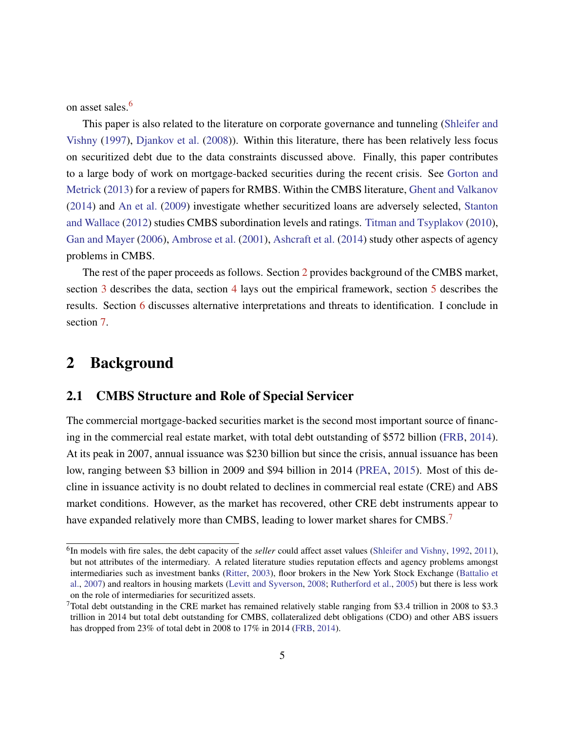on asset sales.<sup>[6](#page-5-0)</sup>

This paper is also related to the literature on corporate governance and tunneling [\(Shleifer and](#page-26-0) [Vishny](#page-26-0) [\(1997\)](#page-26-0), [Djankov et al.](#page-24-7) [\(2008\)](#page-24-7)). Within this literature, there has been relatively less focus on securitized debt due to the data constraints discussed above. Finally, this paper contributes to a large body of work on mortgage-backed securities during the recent crisis. See [Gorton and](#page-25-10) [Metrick](#page-25-10) [\(2013\)](#page-25-10) for a review of papers for RMBS. Within the CMBS literature, [Ghent and Valkanov](#page-25-12) [\(2014\)](#page-25-12) and [An et al.](#page-24-4) [\(2009\)](#page-24-4) investigate whether securitized loans are adversely selected, [Stanton](#page-26-8) [and Wallace](#page-26-8) [\(2012\)](#page-26-8) studies CMBS subordination levels and ratings. [Titman and Tsyplakov](#page-27-2) [\(2010\)](#page-27-2), [Gan and Mayer](#page-25-13) [\(2006\)](#page-25-13), [Ambrose et al.](#page-24-8) [\(2001\)](#page-24-8), [Ashcraft et al.](#page-24-9) [\(2014\)](#page-24-9) study other aspects of agency problems in CMBS.

The rest of the paper proceeds as follows. Section [2](#page-5-1) provides background of the CMBS market, section [3](#page-9-0) describes the data, section [4](#page-11-0) lays out the empirical framework, section [5](#page-15-0) describes the results. Section [6](#page-20-0) discusses alternative interpretations and threats to identification. I conclude in section [7.](#page-22-0)

# <span id="page-5-1"></span>2 Background

### 2.1 CMBS Structure and Role of Special Servicer

The commercial mortgage-backed securities market is the second most important source of financing in the commercial real estate market, with total debt outstanding of \$572 billion [\(FRB,](#page-25-0) [2014\)](#page-25-0). At its peak in 2007, annual issuance was \$230 billion but since the crisis, annual issuance has been low, ranging between \$3 billion in 2009 and \$94 billion in 2014 [\(PREA,](#page-26-9) [2015\)](#page-26-9). Most of this decline in issuance activity is no doubt related to declines in commercial real estate (CRE) and ABS market conditions. However, as the market has recovered, other CRE debt instruments appear to have expanded relatively more than CMBS, leading to lower market shares for CMBS.<sup>[7](#page-5-2)</sup>

<span id="page-5-0"></span><sup>&</sup>lt;sup>6</sup>In models with fire sales, the debt capacity of the *seller* could affect asset values [\(Shleifer and Vishny,](#page-26-10) [1992,](#page-26-10) [2011\)](#page-26-11), but not attributes of the intermediary. A related literature studies reputation effects and agency problems amongst intermediaries such as investment banks [\(Ritter,](#page-26-12) [2003\)](#page-26-12), floor brokers in the New York Stock Exchange [\(Battalio et](#page-24-10) [al.,](#page-24-10) [2007\)](#page-24-10) and realtors in housing markets [\(Levitt and Syverson,](#page-26-13) [2008;](#page-26-13) [Rutherford et al.,](#page-26-14) [2005\)](#page-26-14) but there is less work on the role of intermediaries for securitized assets.

<span id="page-5-2"></span> $7$ Total debt outstanding in the CRE market has remained relatively stable ranging from \$3.4 trillion in 2008 to \$3.3 trillion in 2014 but total debt outstanding for CMBS, collateralized debt obligations (CDO) and other ABS issuers has dropped from 23% of total debt in 2008 to 17% in 2014 [\(FRB,](#page-25-0) [2014\)](#page-25-0).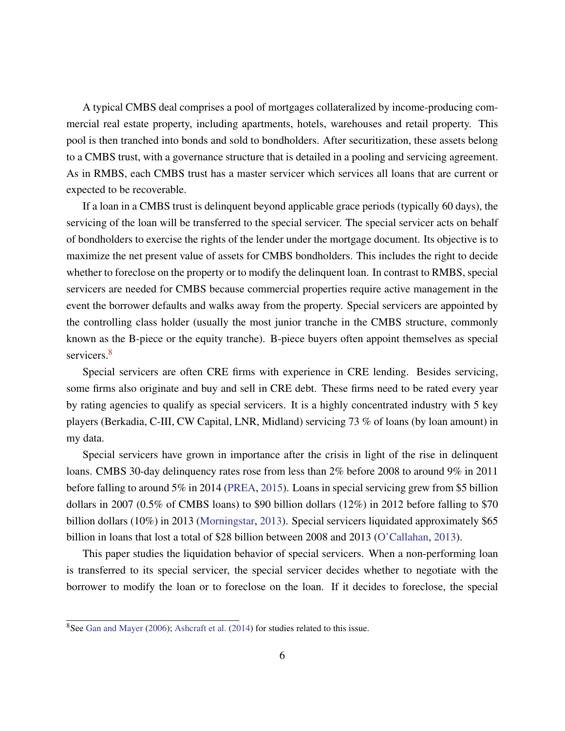A typical CMBS deal comprises a pool of mortgages collateralized by income-producing commercial real estate property, including apartments, hotels, warehouses and retail property. This pool is then tranched into bonds and sold to bondholders. After securitization, these assets belong to a CMBS trust, with a governance structure that is detailed in a pooling and servicing agreement. As in RMBS, each CMBS trust has a master servicer which services all loans that are current or expected to be recoverable.

If a loan in a CMBS trust is delinquent beyond applicable grace periods (typically 60 days), the servicing of the loan will be transferred to the special servicer. The special servicer acts on behalf of bondholders to exercise the rights of the lender under the mortgage document. Its objective is to maximize the net present value of assets for CMBS bondholders. This includes the right to decide whether to foreclose on the property or to modify the delinquent loan. In contrast to RMBS, special servicers are needed for CMBS because commercial properties require active management in the event the borrower defaults and walks away from the property. Special servicers are appointed by the controlling class holder (usually the most junior tranche in the CMBS structure, commonly known as the B-piece or the equity tranche). B-piece buyers often appoint themselves as special servicers.<sup>[8](#page-6-0)</sup>

Special servicers are often CRE firms with experience in CRE lending. Besides servicing, some firms also originate and buy and sell in CRE debt. These firms need to be rated every year by rating agencies to qualify as special servicers. It is a highly concentrated industry with 5 key players (Berkadia, C-III, CW Capital, LNR, Midland) servicing 73 % of loans (by loan amount) in my data.

Special servicers have grown in importance after the crisis in light of the rise in delinquent loans. CMBS 30-day delinquency rates rose from less than 2% before 2008 to around 9% in 2011 before falling to around 5% in 2014 [\(PREA,](#page-26-9) [2015\)](#page-26-9). Loans in special servicing grew from \$5 billion dollars in 2007 (0.5% of CMBS loans) to \$90 billion dollars (12%) in 2012 before falling to \$70 billion dollars (10%) in 2013 [\(Morningstar,](#page-26-15) [2013\)](#page-26-15). Special servicers liquidated approximately \$65 billion in loans that lost a total of \$28 billion between 2008 and 2013 [\(O'Callahan,](#page-26-16) [2013\)](#page-26-16).

This paper studies the liquidation behavior of special servicers. When a non-performing loan is transferred to its special servicer, the special servicer decides whether to negotiate with the borrower to modify the loan or to foreclose on the loan. If it decides to foreclose, the special

<span id="page-6-0"></span><sup>&</sup>lt;sup>8</sup>See [Gan and Mayer](#page-25-13) [\(2006\)](#page-25-13); [Ashcraft et al.](#page-24-9) [\(2014\)](#page-24-9) for studies related to this issue.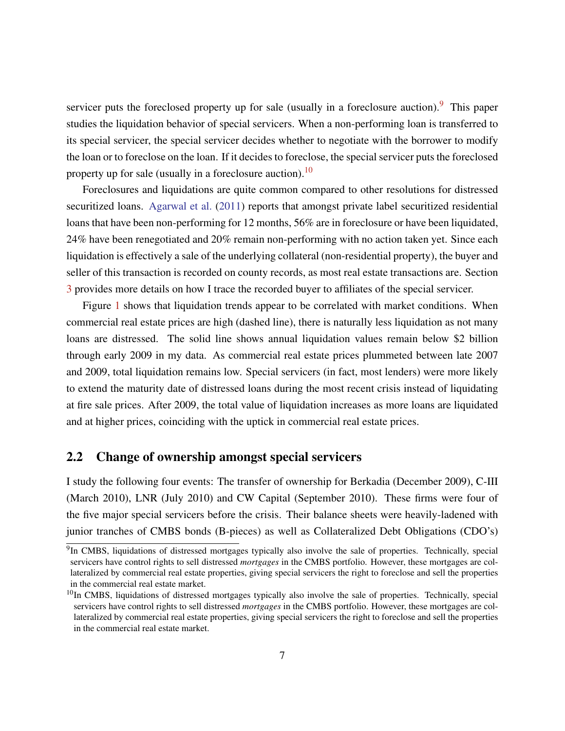servicer puts the foreclosed property up for sale (usually in a foreclosure auction). <sup>[9](#page-7-0)</sup> This paper studies the liquidation behavior of special servicers. When a non-performing loan is transferred to its special servicer, the special servicer decides whether to negotiate with the borrower to modify the loan or to foreclose on the loan. If it decides to foreclose, the special servicer puts the foreclosed property up for sale (usually in a foreclosure auction).<sup>[10](#page-7-1)</sup>

Foreclosures and liquidations are quite common compared to other resolutions for distressed securitized loans. [Agarwal et al.](#page-24-6) [\(2011\)](#page-24-6) reports that amongst private label securitized residential loans that have been non-performing for 12 months, 56% are in foreclosure or have been liquidated, 24% have been renegotiated and 20% remain non-performing with no action taken yet. Since each liquidation is effectively a sale of the underlying collateral (non-residential property), the buyer and seller of this transaction is recorded on county records, as most real estate transactions are. Section [3](#page-9-0) provides more details on how I trace the recorded buyer to affiliates of the special servicer.

Figure [1](#page-28-0) shows that liquidation trends appear to be correlated with market conditions. When commercial real estate prices are high (dashed line), there is naturally less liquidation as not many loans are distressed. The solid line shows annual liquidation values remain below \$2 billion through early 2009 in my data. As commercial real estate prices plummeted between late 2007 and 2009, total liquidation remains low. Special servicers (in fact, most lenders) were more likely to extend the maturity date of distressed loans during the most recent crisis instead of liquidating at fire sale prices. After 2009, the total value of liquidation increases as more loans are liquidated and at higher prices, coinciding with the uptick in commercial real estate prices.

### 2.2 Change of ownership amongst special servicers

I study the following four events: The transfer of ownership for Berkadia (December 2009), C-III (March 2010), LNR (July 2010) and CW Capital (September 2010). These firms were four of the five major special servicers before the crisis. Their balance sheets were heavily-ladened with junior tranches of CMBS bonds (B-pieces) as well as Collateralized Debt Obligations (CDO's)

<span id="page-7-0"></span><sup>&</sup>lt;sup>9</sup>In CMBS, liquidations of distressed mortgages typically also involve the sale of properties. Technically, special servicers have control rights to sell distressed *mortgages* in the CMBS portfolio. However, these mortgages are collateralized by commercial real estate properties, giving special servicers the right to foreclose and sell the properties in the commercial real estate market.

<span id="page-7-1"></span><sup>&</sup>lt;sup>10</sup>In CMBS, liquidations of distressed mortgages typically also involve the sale of properties. Technically, special servicers have control rights to sell distressed *mortgages* in the CMBS portfolio. However, these mortgages are collateralized by commercial real estate properties, giving special servicers the right to foreclose and sell the properties in the commercial real estate market.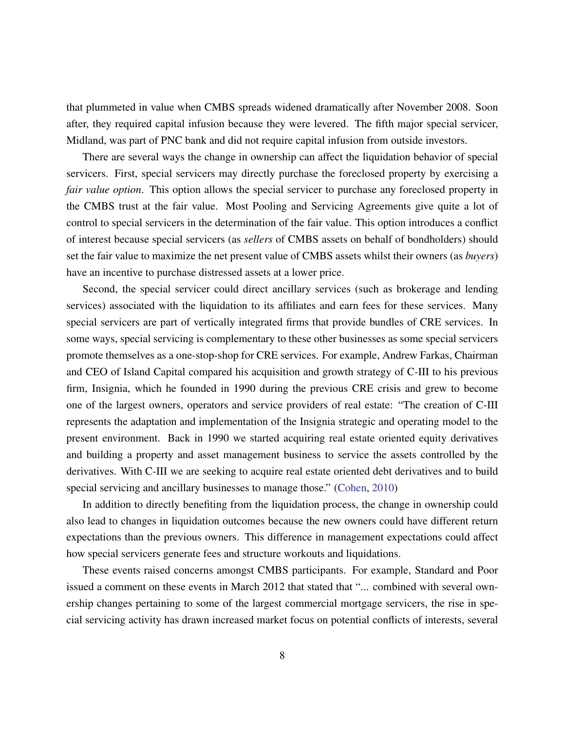that plummeted in value when CMBS spreads widened dramatically after November 2008. Soon after, they required capital infusion because they were levered. The fifth major special servicer, Midland, was part of PNC bank and did not require capital infusion from outside investors.

There are several ways the change in ownership can affect the liquidation behavior of special servicers. First, special servicers may directly purchase the foreclosed property by exercising a *fair value option*. This option allows the special servicer to purchase any foreclosed property in the CMBS trust at the fair value. Most Pooling and Servicing Agreements give quite a lot of control to special servicers in the determination of the fair value. This option introduces a conflict of interest because special servicers (as *sellers* of CMBS assets on behalf of bondholders) should set the fair value to maximize the net present value of CMBS assets whilst their owners (as *buyers*) have an incentive to purchase distressed assets at a lower price.

Second, the special servicer could direct ancillary services (such as brokerage and lending services) associated with the liquidation to its affiliates and earn fees for these services. Many special servicers are part of vertically integrated firms that provide bundles of CRE services. In some ways, special servicing is complementary to these other businesses as some special servicers promote themselves as a one-stop-shop for CRE services. For example, Andrew Farkas, Chairman and CEO of Island Capital compared his acquisition and growth strategy of C-III to his previous firm, Insignia, which he founded in 1990 during the previous CRE crisis and grew to become one of the largest owners, operators and service providers of real estate: "The creation of C-III represents the adaptation and implementation of the Insignia strategic and operating model to the present environment. Back in 1990 we started acquiring real estate oriented equity derivatives and building a property and asset management business to service the assets controlled by the derivatives. With C-III we are seeking to acquire real estate oriented debt derivatives and to build special servicing and ancillary businesses to manage those." [\(Cohen,](#page-24-11) [2010\)](#page-24-11)

In addition to directly benefiting from the liquidation process, the change in ownership could also lead to changes in liquidation outcomes because the new owners could have different return expectations than the previous owners. This difference in management expectations could affect how special servicers generate fees and structure workouts and liquidations.

These events raised concerns amongst CMBS participants. For example, Standard and Poor issued a comment on these events in March 2012 that stated that "... combined with several ownership changes pertaining to some of the largest commercial mortgage servicers, the rise in special servicing activity has drawn increased market focus on potential conflicts of interests, several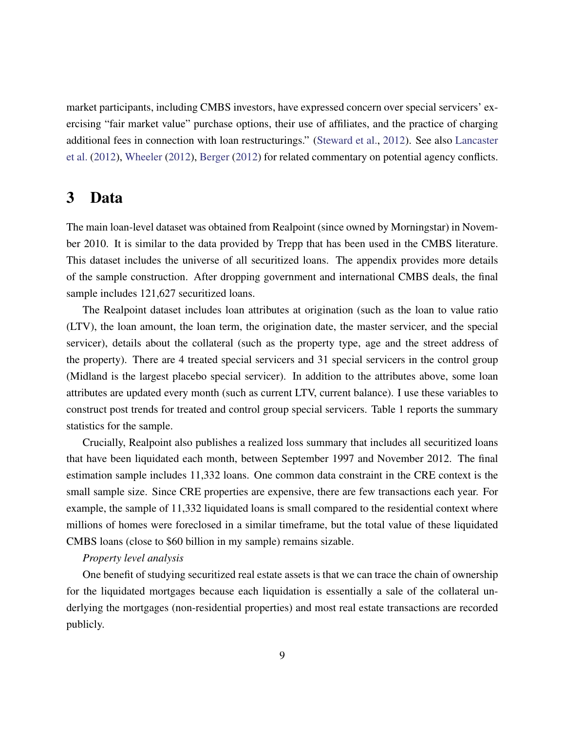market participants, including CMBS investors, have expressed concern over special servicers' exercising "fair market value" purchase options, their use of affiliates, and the practice of charging additional fees in connection with loan restructurings." [\(Steward et al.,](#page-26-17) [2012\)](#page-26-17). See also [Lancaster](#page-26-6) [et al.](#page-26-6) [\(2012\)](#page-26-6), [Wheeler](#page-27-3) [\(2012\)](#page-27-3), [Berger](#page-24-12) [\(2012\)](#page-24-12) for related commentary on potential agency conflicts.

### <span id="page-9-0"></span>3 Data

The main loan-level dataset was obtained from Realpoint (since owned by Morningstar) in November 2010. It is similar to the data provided by Trepp that has been used in the CMBS literature. This dataset includes the universe of all securitized loans. The appendix provides more details of the sample construction. After dropping government and international CMBS deals, the final sample includes 121,627 securitized loans.

The Realpoint dataset includes loan attributes at origination (such as the loan to value ratio (LTV), the loan amount, the loan term, the origination date, the master servicer, and the special servicer), details about the collateral (such as the property type, age and the street address of the property). There are 4 treated special servicers and 31 special servicers in the control group (Midland is the largest placebo special servicer). In addition to the attributes above, some loan attributes are updated every month (such as current LTV, current balance). I use these variables to construct post trends for treated and control group special servicers. Table 1 reports the summary statistics for the sample.

Crucially, Realpoint also publishes a realized loss summary that includes all securitized loans that have been liquidated each month, between September 1997 and November 2012. The final estimation sample includes 11,332 loans. One common data constraint in the CRE context is the small sample size. Since CRE properties are expensive, there are few transactions each year. For example, the sample of 11,332 liquidated loans is small compared to the residential context where millions of homes were foreclosed in a similar timeframe, but the total value of these liquidated CMBS loans (close to \$60 billion in my sample) remains sizable.

#### *Property level analysis*

One benefit of studying securitized real estate assets is that we can trace the chain of ownership for the liquidated mortgages because each liquidation is essentially a sale of the collateral underlying the mortgages (non-residential properties) and most real estate transactions are recorded publicly.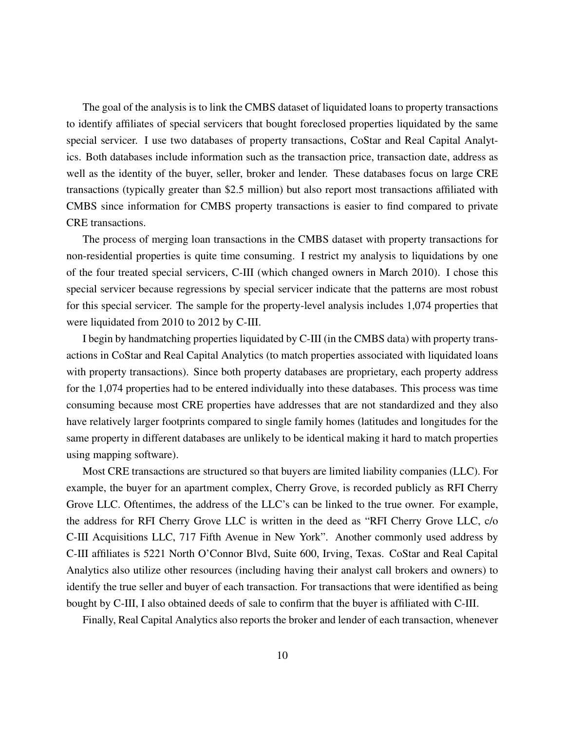The goal of the analysis is to link the CMBS dataset of liquidated loans to property transactions to identify affiliates of special servicers that bought foreclosed properties liquidated by the same special servicer. I use two databases of property transactions, CoStar and Real Capital Analytics. Both databases include information such as the transaction price, transaction date, address as well as the identity of the buyer, seller, broker and lender. These databases focus on large CRE transactions (typically greater than \$2.5 million) but also report most transactions affiliated with CMBS since information for CMBS property transactions is easier to find compared to private CRE transactions.

The process of merging loan transactions in the CMBS dataset with property transactions for non-residential properties is quite time consuming. I restrict my analysis to liquidations by one of the four treated special servicers, C-III (which changed owners in March 2010). I chose this special servicer because regressions by special servicer indicate that the patterns are most robust for this special servicer. The sample for the property-level analysis includes 1,074 properties that were liquidated from 2010 to 2012 by C-III.

I begin by handmatching properties liquidated by C-III (in the CMBS data) with property transactions in CoStar and Real Capital Analytics (to match properties associated with liquidated loans with property transactions). Since both property databases are proprietary, each property address for the 1,074 properties had to be entered individually into these databases. This process was time consuming because most CRE properties have addresses that are not standardized and they also have relatively larger footprints compared to single family homes (latitudes and longitudes for the same property in different databases are unlikely to be identical making it hard to match properties using mapping software).

Most CRE transactions are structured so that buyers are limited liability companies (LLC). For example, the buyer for an apartment complex, Cherry Grove, is recorded publicly as RFI Cherry Grove LLC. Oftentimes, the address of the LLC's can be linked to the true owner. For example, the address for RFI Cherry Grove LLC is written in the deed as "RFI Cherry Grove LLC, c/o C-III Acquisitions LLC, 717 Fifth Avenue in New York". Another commonly used address by C-III affiliates is 5221 North O'Connor Blvd, Suite 600, Irving, Texas. CoStar and Real Capital Analytics also utilize other resources (including having their analyst call brokers and owners) to identify the true seller and buyer of each transaction. For transactions that were identified as being bought by C-III, I also obtained deeds of sale to confirm that the buyer is affiliated with C-III.

Finally, Real Capital Analytics also reports the broker and lender of each transaction, whenever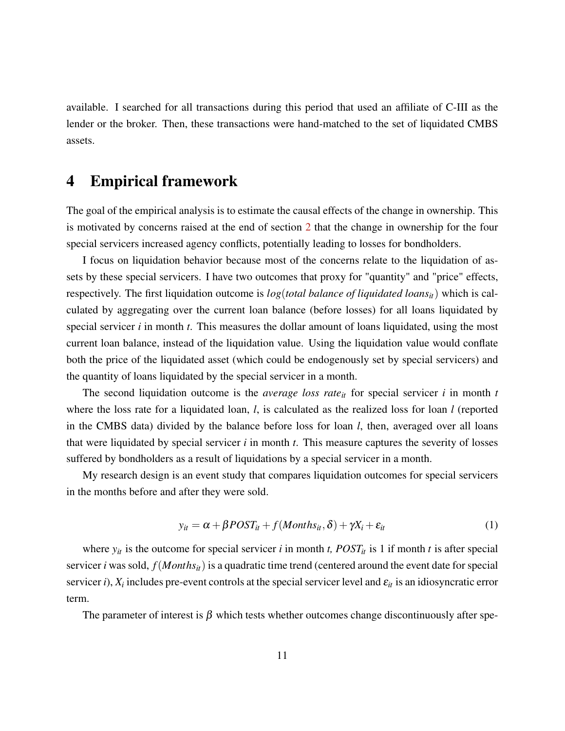available. I searched for all transactions during this period that used an affiliate of C-III as the lender or the broker. Then, these transactions were hand-matched to the set of liquidated CMBS assets.

## <span id="page-11-0"></span>4 Empirical framework

The goal of the empirical analysis is to estimate the causal effects of the change in ownership. This is motivated by concerns raised at the end of section [2](#page-5-1) that the change in ownership for the four special servicers increased agency conflicts, potentially leading to losses for bondholders.

I focus on liquidation behavior because most of the concerns relate to the liquidation of assets by these special servicers. I have two outcomes that proxy for "quantity" and "price" effects, respectively. The first liquidation outcome is *log*(*total balance of liquidated loansit*) which is calculated by aggregating over the current loan balance (before losses) for all loans liquidated by special servicer *i* in month *t*. This measures the dollar amount of loans liquidated, using the most current loan balance, instead of the liquidation value. Using the liquidation value would conflate both the price of the liquidated asset (which could be endogenously set by special servicers) and the quantity of loans liquidated by the special servicer in a month.

The second liquidation outcome is the *average loss rateit* for special servicer *i* in month *t* where the loss rate for a liquidated loan, *l*, is calculated as the realized loss for loan *l* (reported in the CMBS data) divided by the balance before loss for loan *l*, then, averaged over all loans that were liquidated by special servicer *i* in month *t*. This measure captures the severity of losses suffered by bondholders as a result of liquidations by a special servicer in a month.

My research design is an event study that compares liquidation outcomes for special servicers in the months before and after they were sold.

<span id="page-11-1"></span>
$$
y_{it} = \alpha + \beta POST_{it} + f(Months_{it}, \delta) + \gamma X_i + \varepsilon_{it}
$$
 (1)

where  $y_{it}$  is the outcome for special servicer *i* in month *t*,  $POST_{it}$  is 1 if month *t* is after special servicer *i* was sold, *f*(*Monthsit*) is a quadratic time trend (centered around the event date for special servicer *i*),  $X_i$  includes pre-event controls at the special servicer level and  $\varepsilon_{it}$  is an idiosyncratic error term.

The parameter of interest is  $\beta$  which tests whether outcomes change discontinuously after spe-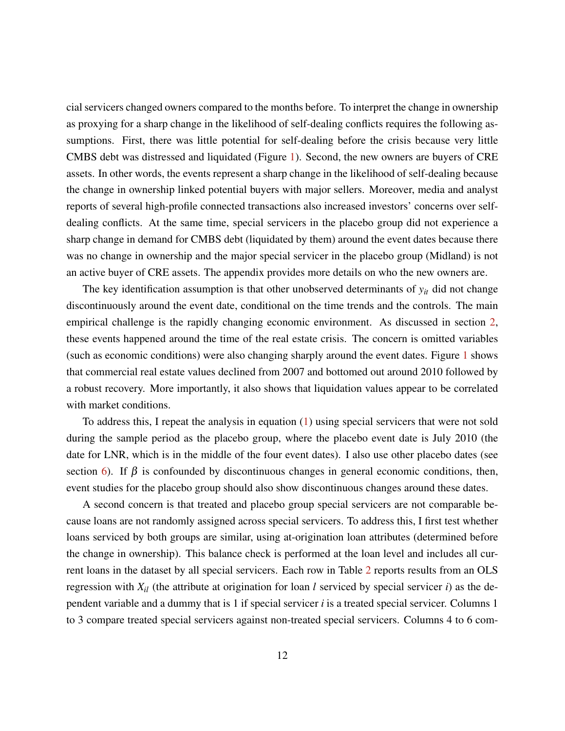cial servicers changed owners compared to the months before. To interpret the change in ownership as proxying for a sharp change in the likelihood of self-dealing conflicts requires the following assumptions. First, there was little potential for self-dealing before the crisis because very little CMBS debt was distressed and liquidated (Figure [1\)](#page-28-0). Second, the new owners are buyers of CRE assets. In other words, the events represent a sharp change in the likelihood of self-dealing because the change in ownership linked potential buyers with major sellers. Moreover, media and analyst reports of several high-profile connected transactions also increased investors' concerns over selfdealing conflicts. At the same time, special servicers in the placebo group did not experience a sharp change in demand for CMBS debt (liquidated by them) around the event dates because there was no change in ownership and the major special servicer in the placebo group (Midland) is not an active buyer of CRE assets. The appendix provides more details on who the new owners are.

The key identification assumption is that other unobserved determinants of *yit* did not change discontinuously around the event date, conditional on the time trends and the controls. The main empirical challenge is the rapidly changing economic environment. As discussed in section [2,](#page-5-1) these events happened around the time of the real estate crisis. The concern is omitted variables (such as economic conditions) were also changing sharply around the event dates. Figure [1](#page-28-0) shows that commercial real estate values declined from 2007 and bottomed out around 2010 followed by a robust recovery. More importantly, it also shows that liquidation values appear to be correlated with market conditions.

To address this, I repeat the analysis in equation [\(1\)](#page-11-1) using special servicers that were not sold during the sample period as the placebo group, where the placebo event date is July 2010 (the date for LNR, which is in the middle of the four event dates). I also use other placebo dates (see section [6\)](#page-20-0). If  $\beta$  is confounded by discontinuous changes in general economic conditions, then, event studies for the placebo group should also show discontinuous changes around these dates.

A second concern is that treated and placebo group special servicers are not comparable because loans are not randomly assigned across special servicers. To address this, I first test whether loans serviced by both groups are similar, using at-origination loan attributes (determined before the change in ownership). This balance check is performed at the loan level and includes all current loans in the dataset by all special servicers. Each row in Table [2](#page-32-0) reports results from an OLS regression with *Xil* (the attribute at origination for loan *l* serviced by special servicer *i*) as the dependent variable and a dummy that is 1 if special servicer *i* is a treated special servicer. Columns 1 to 3 compare treated special servicers against non-treated special servicers. Columns 4 to 6 com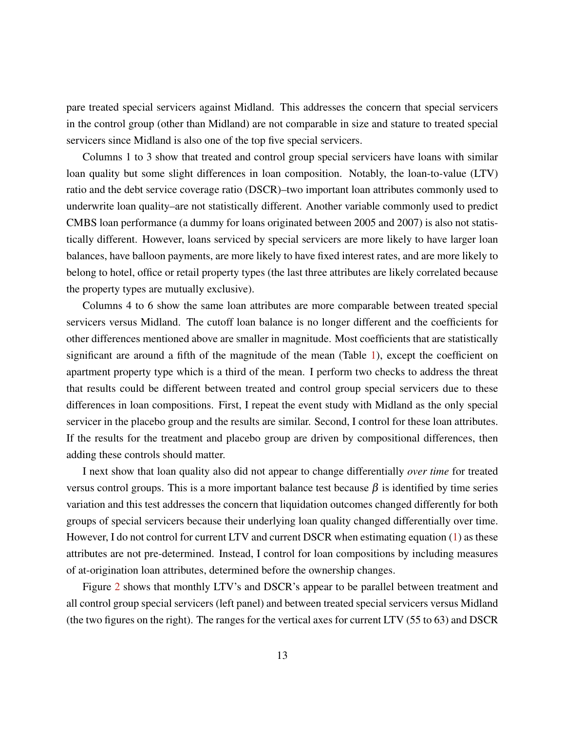pare treated special servicers against Midland. This addresses the concern that special servicers in the control group (other than Midland) are not comparable in size and stature to treated special servicers since Midland is also one of the top five special servicers.

Columns 1 to 3 show that treated and control group special servicers have loans with similar loan quality but some slight differences in loan composition. Notably, the loan-to-value (LTV) ratio and the debt service coverage ratio (DSCR)–two important loan attributes commonly used to underwrite loan quality–are not statistically different. Another variable commonly used to predict CMBS loan performance (a dummy for loans originated between 2005 and 2007) is also not statistically different. However, loans serviced by special servicers are more likely to have larger loan balances, have balloon payments, are more likely to have fixed interest rates, and are more likely to belong to hotel, office or retail property types (the last three attributes are likely correlated because the property types are mutually exclusive).

Columns 4 to 6 show the same loan attributes are more comparable between treated special servicers versus Midland. The cutoff loan balance is no longer different and the coefficients for other differences mentioned above are smaller in magnitude. Most coefficients that are statistically significant are around a fifth of the magnitude of the mean (Table [1\)](#page-31-0), except the coefficient on apartment property type which is a third of the mean. I perform two checks to address the threat that results could be different between treated and control group special servicers due to these differences in loan compositions. First, I repeat the event study with Midland as the only special servicer in the placebo group and the results are similar. Second, I control for these loan attributes. If the results for the treatment and placebo group are driven by compositional differences, then adding these controls should matter.

I next show that loan quality also did not appear to change differentially *over time* for treated versus control groups. This is a more important balance test because  $\beta$  is identified by time series variation and this test addresses the concern that liquidation outcomes changed differently for both groups of special servicers because their underlying loan quality changed differentially over time. However, I do not control for current LTV and current DSCR when estimating equation [\(1\)](#page-11-1) as these attributes are not pre-determined. Instead, I control for loan compositions by including measures of at-origination loan attributes, determined before the ownership changes.

Figure [2](#page-29-0) shows that monthly LTV's and DSCR's appear to be parallel between treatment and all control group special servicers (left panel) and between treated special servicers versus Midland (the two figures on the right). The ranges for the vertical axes for current LTV (55 to 63) and DSCR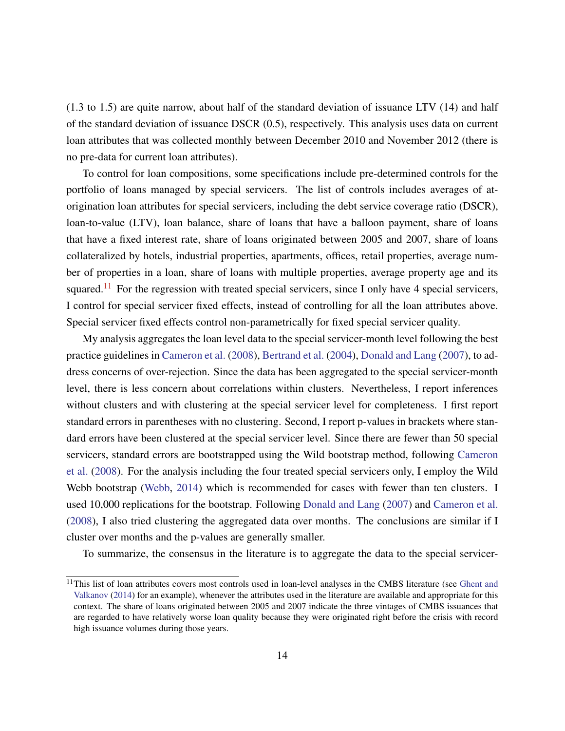(1.3 to 1.5) are quite narrow, about half of the standard deviation of issuance LTV (14) and half of the standard deviation of issuance DSCR (0.5), respectively. This analysis uses data on current loan attributes that was collected monthly between December 2010 and November 2012 (there is no pre-data for current loan attributes).

To control for loan compositions, some specifications include pre-determined controls for the portfolio of loans managed by special servicers. The list of controls includes averages of atorigination loan attributes for special servicers, including the debt service coverage ratio (DSCR), loan-to-value (LTV), loan balance, share of loans that have a balloon payment, share of loans that have a fixed interest rate, share of loans originated between 2005 and 2007, share of loans collateralized by hotels, industrial properties, apartments, offices, retail properties, average number of properties in a loan, share of loans with multiple properties, average property age and its squared.<sup>[11](#page-14-0)</sup> For the regression with treated special servicers, since I only have 4 special servicers, I control for special servicer fixed effects, instead of controlling for all the loan attributes above. Special servicer fixed effects control non-parametrically for fixed special servicer quality.

My analysis aggregates the loan level data to the special servicer-month level following the best practice guidelines in [Cameron et al.](#page-24-13) [\(2008\)](#page-24-13), [Bertrand et al.](#page-24-14) [\(2004\)](#page-24-14), [Donald and Lang](#page-24-15) [\(2007\)](#page-24-15), to address concerns of over-rejection. Since the data has been aggregated to the special servicer-month level, there is less concern about correlations within clusters. Nevertheless, I report inferences without clusters and with clustering at the special servicer level for completeness. I first report standard errors in parentheses with no clustering. Second, I report p-values in brackets where standard errors have been clustered at the special servicer level. Since there are fewer than 50 special servicers, standard errors are bootstrapped using the Wild bootstrap method, following [Cameron](#page-24-13) [et al.](#page-24-13) [\(2008\)](#page-24-13). For the analysis including the four treated special servicers only, I employ the Wild Webb bootstrap [\(Webb,](#page-27-4) [2014\)](#page-27-4) which is recommended for cases with fewer than ten clusters. I used 10,000 replications for the bootstrap. Following [Donald and Lang](#page-24-15) [\(2007\)](#page-24-15) and [Cameron et al.](#page-24-13) [\(2008\)](#page-24-13), I also tried clustering the aggregated data over months. The conclusions are similar if I cluster over months and the p-values are generally smaller.

To summarize, the consensus in the literature is to aggregate the data to the special servicer-

<span id="page-14-0"></span><sup>&</sup>lt;sup>11</sup>This list of loan attributes covers most controls used in loan-level analyses in the CMBS literature (see [Ghent and](#page-25-12) [Valkanov](#page-25-12) [\(2014\)](#page-25-12) for an example), whenever the attributes used in the literature are available and appropriate for this context. The share of loans originated between 2005 and 2007 indicate the three vintages of CMBS issuances that are regarded to have relatively worse loan quality because they were originated right before the crisis with record high issuance volumes during those years.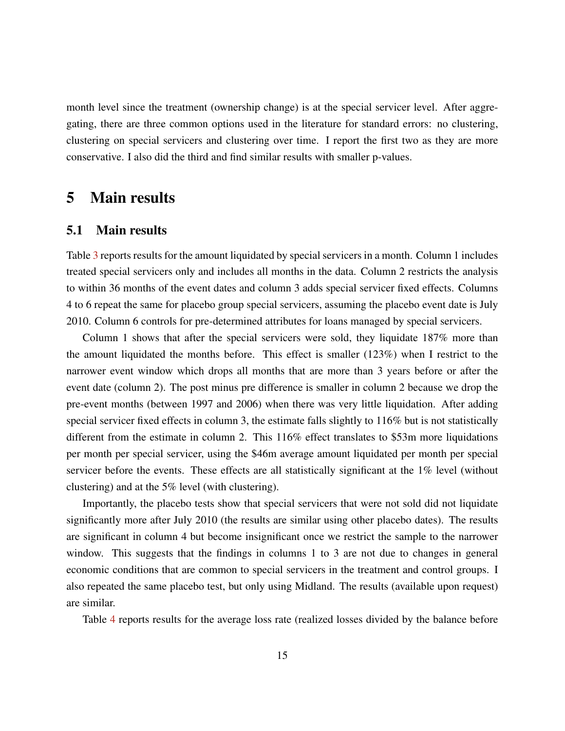month level since the treatment (ownership change) is at the special servicer level. After aggregating, there are three common options used in the literature for standard errors: no clustering, clustering on special servicers and clustering over time. I report the first two as they are more conservative. I also did the third and find similar results with smaller p-values.

### <span id="page-15-0"></span>5 Main results

### 5.1 Main results

Table [3](#page-33-0) reports results for the amount liquidated by special servicers in a month. Column 1 includes treated special servicers only and includes all months in the data. Column 2 restricts the analysis to within 36 months of the event dates and column 3 adds special servicer fixed effects. Columns 4 to 6 repeat the same for placebo group special servicers, assuming the placebo event date is July 2010. Column 6 controls for pre-determined attributes for loans managed by special servicers.

Column 1 shows that after the special servicers were sold, they liquidate  $187\%$  more than the amount liquidated the months before. This effect is smaller (123%) when I restrict to the narrower event window which drops all months that are more than 3 years before or after the event date (column 2). The post minus pre difference is smaller in column 2 because we drop the pre-event months (between 1997 and 2006) when there was very little liquidation. After adding special servicer fixed effects in column 3, the estimate falls slightly to 116% but is not statistically different from the estimate in column 2. This 116% effect translates to \$53m more liquidations per month per special servicer, using the \$46m average amount liquidated per month per special servicer before the events. These effects are all statistically significant at the 1% level (without clustering) and at the 5% level (with clustering).

Importantly, the placebo tests show that special servicers that were not sold did not liquidate significantly more after July 2010 (the results are similar using other placebo dates). The results are significant in column 4 but become insignificant once we restrict the sample to the narrower window. This suggests that the findings in columns 1 to 3 are not due to changes in general economic conditions that are common to special servicers in the treatment and control groups. I also repeated the same placebo test, but only using Midland. The results (available upon request) are similar.

Table [4](#page-33-1) reports results for the average loss rate (realized losses divided by the balance before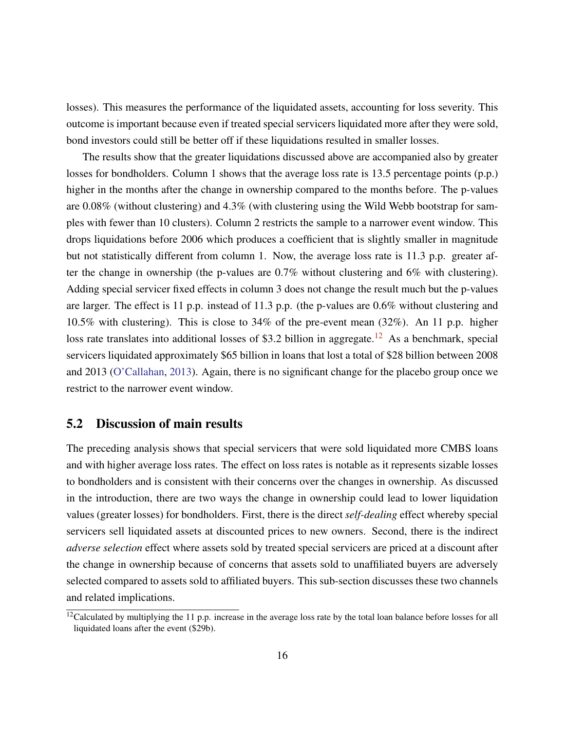losses). This measures the performance of the liquidated assets, accounting for loss severity. This outcome is important because even if treated special servicers liquidated more after they were sold, bond investors could still be better off if these liquidations resulted in smaller losses.

The results show that the greater liquidations discussed above are accompanied also by greater losses for bondholders. Column 1 shows that the average loss rate is 13.5 percentage points (p.p.) higher in the months after the change in ownership compared to the months before. The p-values are 0.08% (without clustering) and 4.3% (with clustering using the Wild Webb bootstrap for samples with fewer than 10 clusters). Column 2 restricts the sample to a narrower event window. This drops liquidations before 2006 which produces a coefficient that is slightly smaller in magnitude but not statistically different from column 1. Now, the average loss rate is 11.3 p.p. greater after the change in ownership (the p-values are 0.7% without clustering and 6% with clustering). Adding special servicer fixed effects in column 3 does not change the result much but the p-values are larger. The effect is 11 p.p. instead of 11.3 p.p. (the p-values are 0.6% without clustering and 10.5% with clustering). This is close to 34% of the pre-event mean (32%). An 11 p.p. higher loss rate translates into additional losses of \$3.2 billion in aggregate.<sup>[12](#page-16-0)</sup> As a benchmark, special servicers liquidated approximately \$65 billion in loans that lost a total of \$28 billion between 2008 and 2013 [\(O'Callahan,](#page-26-16) [2013\)](#page-26-16). Again, there is no significant change for the placebo group once we restrict to the narrower event window.

### 5.2 Discussion of main results

The preceding analysis shows that special servicers that were sold liquidated more CMBS loans and with higher average loss rates. The effect on loss rates is notable as it represents sizable losses to bondholders and is consistent with their concerns over the changes in ownership. As discussed in the introduction, there are two ways the change in ownership could lead to lower liquidation values (greater losses) for bondholders. First, there is the direct *self-dealing* effect whereby special servicers sell liquidated assets at discounted prices to new owners. Second, there is the indirect *adverse selection* effect where assets sold by treated special servicers are priced at a discount after the change in ownership because of concerns that assets sold to unaffiliated buyers are adversely selected compared to assets sold to affiliated buyers. This sub-section discusses these two channels and related implications.

<span id="page-16-0"></span> $12$ Calculated by multiplying the 11 p.p. increase in the average loss rate by the total loan balance before losses for all liquidated loans after the event (\$29b).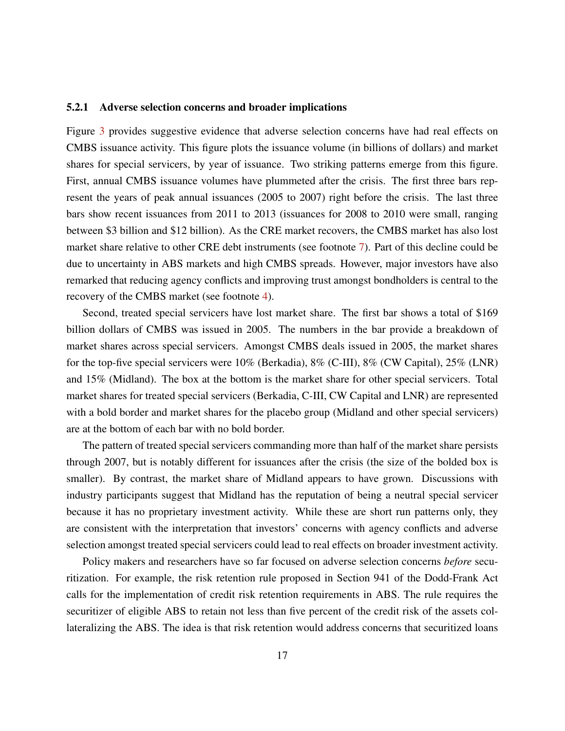#### 5.2.1 Adverse selection concerns and broader implications

Figure [3](#page-30-0) provides suggestive evidence that adverse selection concerns have had real effects on CMBS issuance activity. This figure plots the issuance volume (in billions of dollars) and market shares for special servicers, by year of issuance. Two striking patterns emerge from this figure. First, annual CMBS issuance volumes have plummeted after the crisis. The first three bars represent the years of peak annual issuances (2005 to 2007) right before the crisis. The last three bars show recent issuances from 2011 to 2013 (issuances for 2008 to 2010 were small, ranging between \$3 billion and \$12 billion). As the CRE market recovers, the CMBS market has also lost market share relative to other CRE debt instruments (see footnote [7\)](#page-5-2). Part of this decline could be due to uncertainty in ABS markets and high CMBS spreads. However, major investors have also remarked that reducing agency conflicts and improving trust amongst bondholders is central to the recovery of the CMBS market (see footnote [4\)](#page-4-0).

Second, treated special servicers have lost market share. The first bar shows a total of \$169 billion dollars of CMBS was issued in 2005. The numbers in the bar provide a breakdown of market shares across special servicers. Amongst CMBS deals issued in 2005, the market shares for the top-five special servicers were 10% (Berkadia), 8% (C-III), 8% (CW Capital), 25% (LNR) and 15% (Midland). The box at the bottom is the market share for other special servicers. Total market shares for treated special servicers (Berkadia, C-III, CW Capital and LNR) are represented with a bold border and market shares for the placebo group (Midland and other special servicers) are at the bottom of each bar with no bold border.

The pattern of treated special servicers commanding more than half of the market share persists through 2007, but is notably different for issuances after the crisis (the size of the bolded box is smaller). By contrast, the market share of Midland appears to have grown. Discussions with industry participants suggest that Midland has the reputation of being a neutral special servicer because it has no proprietary investment activity. While these are short run patterns only, they are consistent with the interpretation that investors' concerns with agency conflicts and adverse selection amongst treated special servicers could lead to real effects on broader investment activity.

Policy makers and researchers have so far focused on adverse selection concerns *before* securitization. For example, the risk retention rule proposed in Section 941 of the Dodd-Frank Act calls for the implementation of credit risk retention requirements in ABS. The rule requires the securitizer of eligible ABS to retain not less than five percent of the credit risk of the assets collateralizing the ABS. The idea is that risk retention would address concerns that securitized loans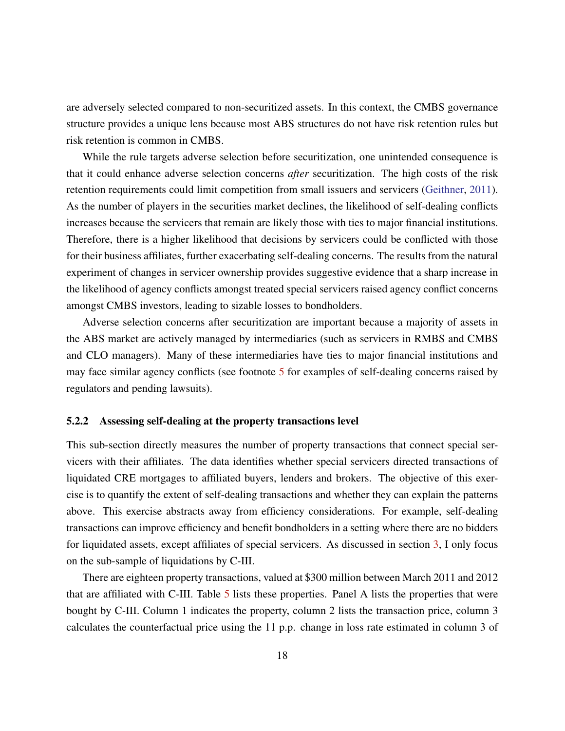are adversely selected compared to non-securitized assets. In this context, the CMBS governance structure provides a unique lens because most ABS structures do not have risk retention rules but risk retention is common in CMBS.

While the rule targets adverse selection before securitization, one unintended consequence is that it could enhance adverse selection concerns *after* securitization. The high costs of the risk retention requirements could limit competition from small issuers and servicers [\(Geithner,](#page-25-14) [2011\)](#page-25-14). As the number of players in the securities market declines, the likelihood of self-dealing conflicts increases because the servicers that remain are likely those with ties to major financial institutions. Therefore, there is a higher likelihood that decisions by servicers could be conflicted with those for their business affiliates, further exacerbating self-dealing concerns. The results from the natural experiment of changes in servicer ownership provides suggestive evidence that a sharp increase in the likelihood of agency conflicts amongst treated special servicers raised agency conflict concerns amongst CMBS investors, leading to sizable losses to bondholders.

Adverse selection concerns after securitization are important because a majority of assets in the ABS market are actively managed by intermediaries (such as servicers in RMBS and CMBS and CLO managers). Many of these intermediaries have ties to major financial institutions and may face similar agency conflicts (see footnote [5](#page-4-1) for examples of self-dealing concerns raised by regulators and pending lawsuits).

#### 5.2.2 Assessing self-dealing at the property transactions level

This sub-section directly measures the number of property transactions that connect special servicers with their affiliates. The data identifies whether special servicers directed transactions of liquidated CRE mortgages to affiliated buyers, lenders and brokers. The objective of this exercise is to quantify the extent of self-dealing transactions and whether they can explain the patterns above. This exercise abstracts away from efficiency considerations. For example, self-dealing transactions can improve efficiency and benefit bondholders in a setting where there are no bidders for liquidated assets, except affiliates of special servicers. As discussed in section [3,](#page-9-0) I only focus on the sub-sample of liquidations by C-III.

There are eighteen property transactions, valued at \$300 million between March 2011 and 2012 that are affiliated with C-III. Table [5](#page-34-0) lists these properties. Panel A lists the properties that were bought by C-III. Column 1 indicates the property, column 2 lists the transaction price, column 3 calculates the counterfactual price using the 11 p.p. change in loss rate estimated in column 3 of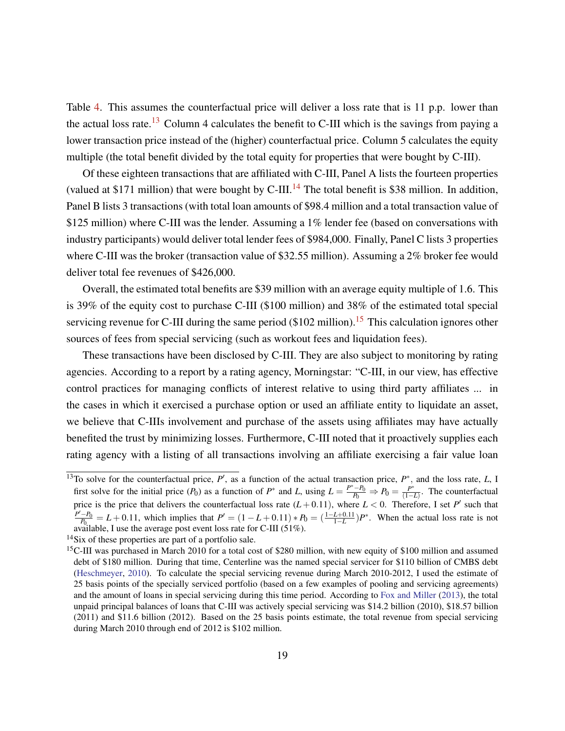Table [4.](#page-33-1) This assumes the counterfactual price will deliver a loss rate that is 11 p.p. lower than the actual loss rate.<sup>[13](#page-19-0)</sup> Column 4 calculates the benefit to C-III which is the savings from paying a lower transaction price instead of the (higher) counterfactual price. Column 5 calculates the equity multiple (the total benefit divided by the total equity for properties that were bought by C-III).

Of these eighteen transactions that are affiliated with C-III, Panel A lists the fourteen properties (valued at \$171 million) that were bought by C-III.<sup>[14](#page-19-1)</sup> The total benefit is \$38 million. In addition, Panel B lists 3 transactions (with total loan amounts of \$98.4 million and a total transaction value of \$125 million) where C-III was the lender. Assuming a 1% lender fee (based on conversations with industry participants) would deliver total lender fees of \$984,000. Finally, Panel C lists 3 properties where C-III was the broker (transaction value of \$32.55 million). Assuming a 2% broker fee would deliver total fee revenues of \$426,000.

Overall, the estimated total benefits are \$39 million with an average equity multiple of 1.6. This is 39% of the equity cost to purchase C-III (\$100 million) and 38% of the estimated total special servicing revenue for C-III during the same period ( $$102$  million).<sup>[15](#page-19-2)</sup> This calculation ignores other sources of fees from special servicing (such as workout fees and liquidation fees).

These transactions have been disclosed by C-III. They are also subject to monitoring by rating agencies. According to a report by a rating agency, Morningstar: "C-III, in our view, has effective control practices for managing conflicts of interest relative to using third party affiliates ... in the cases in which it exercised a purchase option or used an affiliate entity to liquidate an asset, we believe that C-IIIs involvement and purchase of the assets using affiliates may have actually benefited the trust by minimizing losses. Furthermore, C-III noted that it proactively supplies each rating agency with a listing of all transactions involving an affiliate exercising a fair value loan

<span id="page-19-0"></span><sup>&</sup>lt;sup>13</sup>To solve for the counterfactual price,  $P'$ , as a function of the actual transaction price,  $P^*$ , and the loss rate,  $L$ , I first solve for the initial price  $(P_0)$  as a function of  $P^*$  and *L*, using  $L = \frac{P^* - P_0}{P_0} \Rightarrow P_0 = \frac{P^* - P_0}{1 - P_0}$  $\frac{P^+}{(1-L)}$ . The counterfactual price is the price that delivers the counterfactual loss rate  $(L+0.11)$ , where  $L < 0$ . Therefore, I set P' such that *P*<sup> $'$ </sup>−*P*<sup>0</sup>  $P_{P_{0}}^{0} = L + 0.11$ , which implies that  $P' = (1 - L + 0.11) * P_0 = (\frac{1 - L + 0.11}{1 - L})P^*$ . When the actual loss rate is not available, I use the average post event loss rate for C-III (51%).

<span id="page-19-1"></span><sup>&</sup>lt;sup>14</sup>Six of these properties are part of a portfolio sale.

<span id="page-19-2"></span><sup>&</sup>lt;sup>15</sup>C-III was purchased in March 2010 for a total cost of \$280 million, with new equity of \$100 million and assumed debt of \$180 million. During that time, Centerline was the named special servicer for \$110 billion of CMBS debt [\(Heschmeyer,](#page-25-15) [2010\)](#page-25-15). To calculate the special servicing revenue during March 2010-2012, I used the estimate of 25 basis points of the specially serviced portfolio (based on a few examples of pooling and servicing agreements) and the amount of loans in special servicing during this time period. According to [Fox and Miller](#page-25-16) [\(2013\)](#page-25-16), the total unpaid principal balances of loans that C-III was actively special servicing was \$14.2 billion (2010), \$18.57 billion (2011) and \$11.6 billion (2012). Based on the 25 basis points estimate, the total revenue from special servicing during March 2010 through end of 2012 is \$102 million.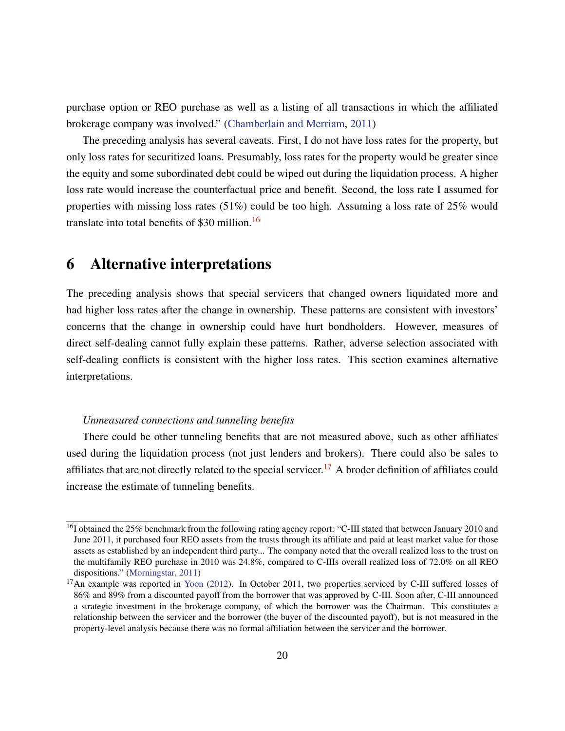purchase option or REO purchase as well as a listing of all transactions in which the affiliated brokerage company was involved." [\(Chamberlain and Merriam,](#page-24-16) [2011\)](#page-24-16)

The preceding analysis has several caveats. First, I do not have loss rates for the property, but only loss rates for securitized loans. Presumably, loss rates for the property would be greater since the equity and some subordinated debt could be wiped out during the liquidation process. A higher loss rate would increase the counterfactual price and benefit. Second, the loss rate I assumed for properties with missing loss rates (51%) could be too high. Assuming a loss rate of 25% would translate into total benefits of \$30 million.[16](#page-20-1)

### <span id="page-20-0"></span>6 Alternative interpretations

The preceding analysis shows that special servicers that changed owners liquidated more and had higher loss rates after the change in ownership. These patterns are consistent with investors' concerns that the change in ownership could have hurt bondholders. However, measures of direct self-dealing cannot fully explain these patterns. Rather, adverse selection associated with self-dealing conflicts is consistent with the higher loss rates. This section examines alternative interpretations.

#### *Unmeasured connections and tunneling benefits*

There could be other tunneling benefits that are not measured above, such as other affiliates used during the liquidation process (not just lenders and brokers). There could also be sales to affiliates that are not directly related to the special servicer.<sup>[17](#page-20-2)</sup> A broder definition of affiliates could increase the estimate of tunneling benefits.

<span id="page-20-1"></span><sup>&</sup>lt;sup>16</sup>I obtained the 25% benchmark from the following rating agency report: "C-III stated that between January 2010 and June 2011, it purchased four REO assets from the trusts through its affiliate and paid at least market value for those assets as established by an independent third party... The company noted that the overall realized loss to the trust on the multifamily REO purchase in 2010 was 24.8%, compared to C-IIIs overall realized loss of 72.0% on all REO dispositions." [\(Morningstar,](#page-26-18) [2011\)](#page-26-18)

<span id="page-20-2"></span><sup>&</sup>lt;sup>17</sup>An example was reported in [Yoon](#page-27-1) [\(2012\)](#page-27-1). In October 2011, two properties serviced by C-III suffered losses of 86% and 89% from a discounted payoff from the borrower that was approved by C-III. Soon after, C-III announced a strategic investment in the brokerage company, of which the borrower was the Chairman. This constitutes a relationship between the servicer and the borrower (the buyer of the discounted payoff), but is not measured in the property-level analysis because there was no formal affiliation between the servicer and the borrower.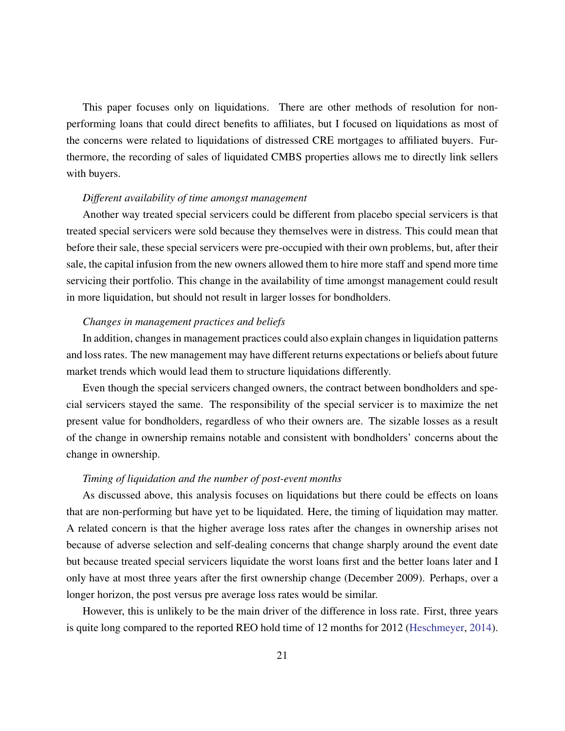This paper focuses only on liquidations. There are other methods of resolution for nonperforming loans that could direct benefits to affiliates, but I focused on liquidations as most of the concerns were related to liquidations of distressed CRE mortgages to affiliated buyers. Furthermore, the recording of sales of liquidated CMBS properties allows me to directly link sellers with buyers.

#### *Different availability of time amongst management*

Another way treated special servicers could be different from placebo special servicers is that treated special servicers were sold because they themselves were in distress. This could mean that before their sale, these special servicers were pre-occupied with their own problems, but, after their sale, the capital infusion from the new owners allowed them to hire more staff and spend more time servicing their portfolio. This change in the availability of time amongst management could result in more liquidation, but should not result in larger losses for bondholders.

#### *Changes in management practices and beliefs*

In addition, changes in management practices could also explain changes in liquidation patterns and loss rates. The new management may have different returns expectations or beliefs about future market trends which would lead them to structure liquidations differently.

Even though the special servicers changed owners, the contract between bondholders and special servicers stayed the same. The responsibility of the special servicer is to maximize the net present value for bondholders, regardless of who their owners are. The sizable losses as a result of the change in ownership remains notable and consistent with bondholders' concerns about the change in ownership.

#### *Timing of liquidation and the number of post-event months*

As discussed above, this analysis focuses on liquidations but there could be effects on loans that are non-performing but have yet to be liquidated. Here, the timing of liquidation may matter. A related concern is that the higher average loss rates after the changes in ownership arises not because of adverse selection and self-dealing concerns that change sharply around the event date but because treated special servicers liquidate the worst loans first and the better loans later and I only have at most three years after the first ownership change (December 2009). Perhaps, over a longer horizon, the post versus pre average loss rates would be similar.

However, this is unlikely to be the main driver of the difference in loss rate. First, three years is quite long compared to the reported REO hold time of 12 months for 2012 [\(Heschmeyer,](#page-25-17) [2014\)](#page-25-17).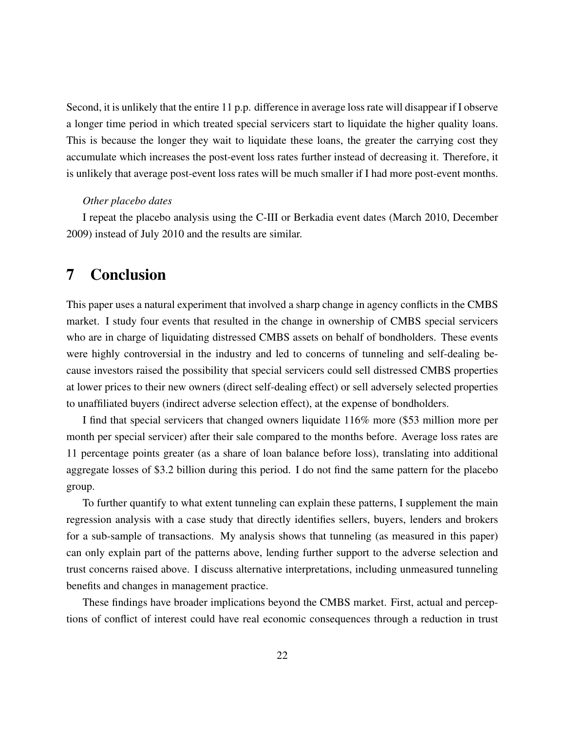Second, it is unlikely that the entire 11 p.p. difference in average loss rate will disappear if I observe a longer time period in which treated special servicers start to liquidate the higher quality loans. This is because the longer they wait to liquidate these loans, the greater the carrying cost they accumulate which increases the post-event loss rates further instead of decreasing it. Therefore, it is unlikely that average post-event loss rates will be much smaller if I had more post-event months.

#### *Other placebo dates*

I repeat the placebo analysis using the C-III or Berkadia event dates (March 2010, December 2009) instead of July 2010 and the results are similar.

# <span id="page-22-0"></span>7 Conclusion

This paper uses a natural experiment that involved a sharp change in agency conflicts in the CMBS market. I study four events that resulted in the change in ownership of CMBS special servicers who are in charge of liquidating distressed CMBS assets on behalf of bondholders. These events were highly controversial in the industry and led to concerns of tunneling and self-dealing because investors raised the possibility that special servicers could sell distressed CMBS properties at lower prices to their new owners (direct self-dealing effect) or sell adversely selected properties to unaffiliated buyers (indirect adverse selection effect), at the expense of bondholders.

I find that special servicers that changed owners liquidate 116% more (\$53 million more per month per special servicer) after their sale compared to the months before. Average loss rates are 11 percentage points greater (as a share of loan balance before loss), translating into additional aggregate losses of \$3.2 billion during this period. I do not find the same pattern for the placebo group.

To further quantify to what extent tunneling can explain these patterns, I supplement the main regression analysis with a case study that directly identifies sellers, buyers, lenders and brokers for a sub-sample of transactions. My analysis shows that tunneling (as measured in this paper) can only explain part of the patterns above, lending further support to the adverse selection and trust concerns raised above. I discuss alternative interpretations, including unmeasured tunneling benefits and changes in management practice.

These findings have broader implications beyond the CMBS market. First, actual and perceptions of conflict of interest could have real economic consequences through a reduction in trust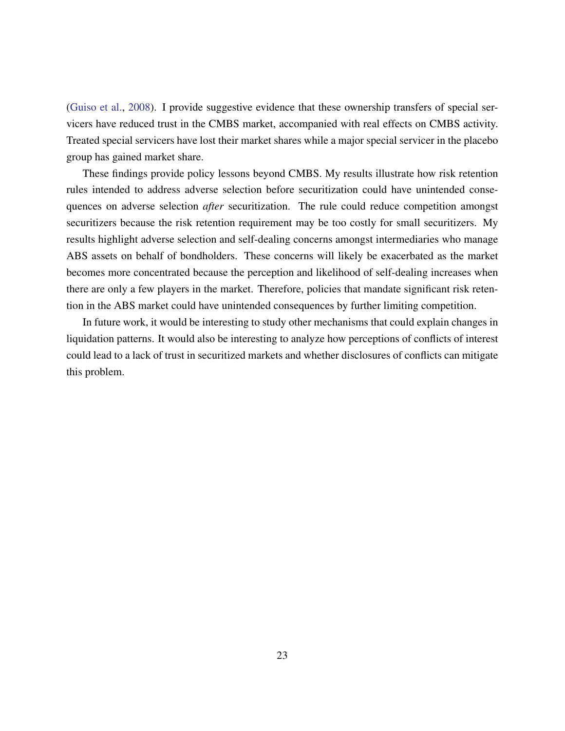[\(Guiso et al.,](#page-25-4) [2008\)](#page-25-4). I provide suggestive evidence that these ownership transfers of special servicers have reduced trust in the CMBS market, accompanied with real effects on CMBS activity. Treated special servicers have lost their market shares while a major special servicer in the placebo group has gained market share.

These findings provide policy lessons beyond CMBS. My results illustrate how risk retention rules intended to address adverse selection before securitization could have unintended consequences on adverse selection *after* securitization. The rule could reduce competition amongst securitizers because the risk retention requirement may be too costly for small securitizers. My results highlight adverse selection and self-dealing concerns amongst intermediaries who manage ABS assets on behalf of bondholders. These concerns will likely be exacerbated as the market becomes more concentrated because the perception and likelihood of self-dealing increases when there are only a few players in the market. Therefore, policies that mandate significant risk retention in the ABS market could have unintended consequences by further limiting competition.

In future work, it would be interesting to study other mechanisms that could explain changes in liquidation patterns. It would also be interesting to analyze how perceptions of conflicts of interest could lead to a lack of trust in securitized markets and whether disclosures of conflicts can mitigate this problem.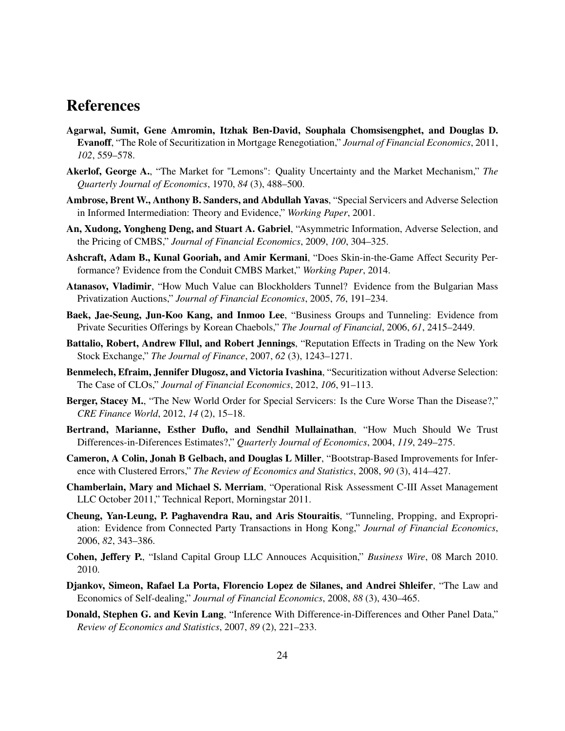## References

- <span id="page-24-6"></span>Agarwal, Sumit, Gene Amromin, Itzhak Ben-David, Souphala Chomsisengphet, and Douglas D. Evanoff, "The Role of Securitization in Mortgage Renegotiation," *Journal of Financial Economics*, 2011, *102*, 559–578.
- <span id="page-24-3"></span>Akerlof, George A., "The Market for "Lemons": Quality Uncertainty and the Market Mechanism," *The Quarterly Journal of Economics*, 1970, *84* (3), 488–500.
- <span id="page-24-8"></span>Ambrose, Brent W., Anthony B. Sanders, and Abdullah Yavas, "Special Servicers and Adverse Selection in Informed Intermediation: Theory and Evidence," *Working Paper*, 2001.
- <span id="page-24-4"></span>An, Xudong, Yongheng Deng, and Stuart A. Gabriel, "Asymmetric Information, Adverse Selection, and the Pricing of CMBS," *Journal of Financial Economics*, 2009, *100*, 304–325.
- <span id="page-24-9"></span>Ashcraft, Adam B., Kunal Gooriah, and Amir Kermani, "Does Skin-in-the-Game Affect Security Performance? Evidence from the Conduit CMBS Market," *Working Paper*, 2014.
- <span id="page-24-2"></span>Atanasov, Vladimir, "How Much Value can Blockholders Tunnel? Evidence from the Bulgarian Mass Privatization Auctions," *Journal of Financial Economics*, 2005, *76*, 191–234.
- <span id="page-24-1"></span>Baek, Jae-Seung, Jun-Koo Kang, and Inmoo Lee, "Business Groups and Tunneling: Evidence from Private Securities Offerings by Korean Chaebols," *The Journal of Financial*, 2006, *61*, 2415–2449.
- <span id="page-24-10"></span>Battalio, Robert, Andrew Fllul, and Robert Jennings, "Reputation Effects in Trading on the New York Stock Exchange," *The Journal of Finance*, 2007, *62* (3), 1243–1271.
- <span id="page-24-5"></span>Benmelech, Efraim, Jennifer Dlugosz, and Victoria Ivashina, "Securitization without Adverse Selection: The Case of CLOs," *Journal of Financial Economics*, 2012, *106*, 91–113.
- <span id="page-24-12"></span>Berger, Stacey M., "The New World Order for Special Servicers: Is the Cure Worse Than the Disease?," *CRE Finance World*, 2012, *14* (2), 15–18.
- <span id="page-24-14"></span>Bertrand, Marianne, Esther Duflo, and Sendhil Mullainathan, "How Much Should We Trust Differences-in-Diferences Estimates?," *Quarterly Journal of Economics*, 2004, *119*, 249–275.
- <span id="page-24-13"></span>Cameron, A Colin, Jonah B Gelbach, and Douglas L Miller, "Bootstrap-Based Improvements for Inference with Clustered Errors," *The Review of Economics and Statistics*, 2008, *90* (3), 414–427.
- <span id="page-24-16"></span>Chamberlain, Mary and Michael S. Merriam, "Operational Risk Assessment C-III Asset Management LLC October 2011," Technical Report, Morningstar 2011.
- <span id="page-24-0"></span>Cheung, Yan-Leung, P. Paghavendra Rau, and Aris Stouraitis, "Tunneling, Propping, and Expropriation: Evidence from Connected Party Transactions in Hong Kong," *Journal of Financial Economics*, 2006, *82*, 343–386.
- <span id="page-24-11"></span>Cohen, Jeffery P., "Island Capital Group LLC Annouces Acquisition," *Business Wire*, 08 March 2010. 2010.
- <span id="page-24-7"></span>Djankov, Simeon, Rafael La Porta, Florencio Lopez de Silanes, and Andrei Shleifer, "The Law and Economics of Self-dealing," *Journal of Financial Economics*, 2008, *88* (3), 430–465.
- <span id="page-24-15"></span>Donald, Stephen G. and Kevin Lang, "Inference With Difference-in-Differences and Other Panel Data," *Review of Economics and Statistics*, 2007, *89* (2), 221–233.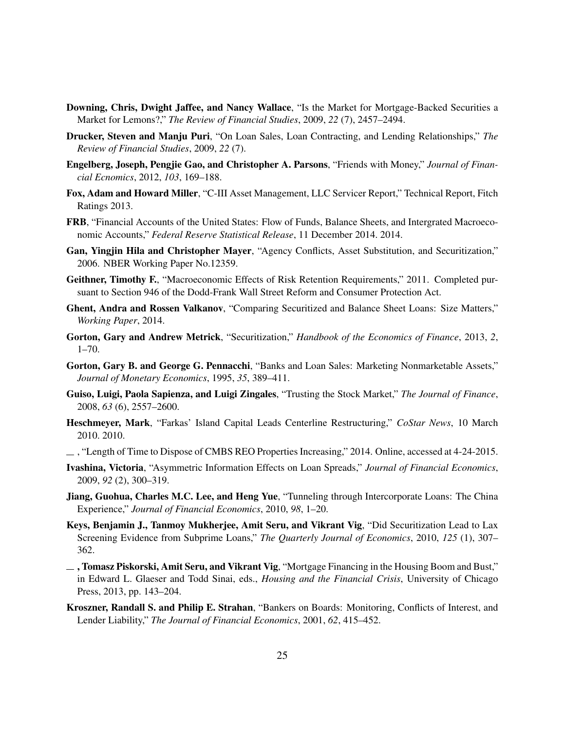- <span id="page-25-9"></span>Downing, Chris, Dwight Jaffee, and Nancy Wallace, "Is the Market for Mortgage-Backed Securities a Market for Lemons?," *The Review of Financial Studies*, 2009, *22* (7), 2457–2494.
- <span id="page-25-6"></span>Drucker, Steven and Manju Puri, "On Loan Sales, Loan Contracting, and Lending Relationships," *The Review of Financial Studies*, 2009, *22* (7).
- <span id="page-25-3"></span>Engelberg, Joseph, Pengjie Gao, and Christopher A. Parsons, "Friends with Money," *Journal of Financial Ecnomics*, 2012, *103*, 169–188.
- <span id="page-25-16"></span>Fox, Adam and Howard Miller, "C-III Asset Management, LLC Servicer Report," Technical Report, Fitch Ratings 2013.
- <span id="page-25-0"></span>FRB, "Financial Accounts of the United States: Flow of Funds, Balance Sheets, and Intergrated Macroeconomic Accounts," *Federal Reserve Statistical Release*, 11 December 2014. 2014.
- <span id="page-25-13"></span>Gan, Yingjin Hila and Christopher Mayer, "Agency Conflicts, Asset Substitution, and Securitization," 2006. NBER Working Paper No.12359.
- <span id="page-25-14"></span>Geithner, Timothy F., "Macroeconomic Effects of Risk Retention Requirements," 2011. Completed pursuant to Section 946 of the Dodd-Frank Wall Street Reform and Consumer Protection Act.
- <span id="page-25-12"></span>Ghent, Andra and Rossen Valkanov, "Comparing Securitized and Balance Sheet Loans: Size Matters," *Working Paper*, 2014.
- <span id="page-25-10"></span>Gorton, Gary and Andrew Metrick, "Securitization," *Handbook of the Economics of Finance*, 2013, *2*, 1–70.
- <span id="page-25-7"></span>Gorton, Gary B. and George G. Pennacchi, "Banks and Loan Sales: Marketing Nonmarketable Assets," *Journal of Monetary Economics*, 1995, *35*, 389–411.
- <span id="page-25-4"></span>Guiso, Luigi, Paola Sapienza, and Luigi Zingales, "Trusting the Stock Market," *The Journal of Finance*, 2008, *63* (6), 2557–2600.
- <span id="page-25-15"></span>Heschmeyer, Mark, "Farkas' Island Capital Leads Centerline Restructuring," *CoStar News*, 10 March 2010. 2010.
- <span id="page-25-17"></span>, "Length of Time to Dispose of CMBS REO Properties Increasing," 2014. Online, accessed at 4-24-2015.
- <span id="page-25-5"></span>Ivashina, Victoria, "Asymmetric Information Effects on Loan Spreads," *Journal of Financial Economics*, 2009, *92* (2), 300–319.
- <span id="page-25-1"></span>Jiang, Guohua, Charles M.C. Lee, and Heng Yue, "Tunneling through Intercorporate Loans: The China Experience," *Journal of Financial Economics*, 2010, *98*, 1–20.
- <span id="page-25-8"></span>Keys, Benjamin J., Tanmoy Mukherjee, Amit Seru, and Vikrant Vig, "Did Securitization Lead to Lax Screening Evidence from Subprime Loans," *The Quarterly Journal of Economics*, 2010, *125* (1), 307– 362.
- <span id="page-25-11"></span> $\overline{\phantom{a}}$ , Tomasz Piskorski, Amit Seru, and Vikrant Vig, "Mortgage Financing in the Housing Boom and Bust," in Edward L. Glaeser and Todd Sinai, eds., *Housing and the Financial Crisis*, University of Chicago Press, 2013, pp. 143–204.
- <span id="page-25-2"></span>Kroszner, Randall S. and Philip E. Strahan, "Bankers on Boards: Monitoring, Conflicts of Interest, and Lender Liability," *The Journal of Financial Economics*, 2001, *62*, 415–452.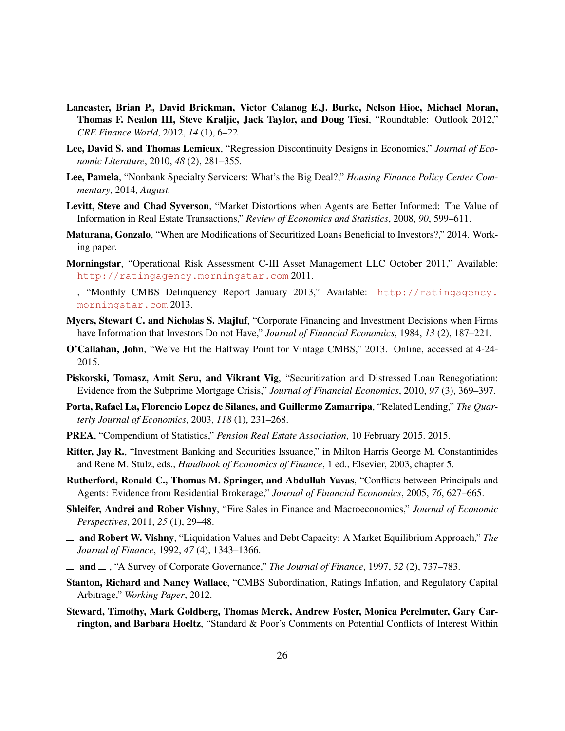- <span id="page-26-6"></span>Lancaster, Brian P., David Brickman, Victor Calanog E.J. Burke, Nelson Hioe, Michael Moran, Thomas F. Nealon III, Steve Kraljic, Jack Taylor, and Doug Tiesi, "Roundtable: Outlook 2012," *CRE Finance World*, 2012, *14* (1), 6–22.
- <span id="page-26-2"></span>Lee, David S. and Thomas Lemieux, "Regression Discontinuity Designs in Economics," *Journal of Economic Literature*, 2010, *48* (2), 281–355.
- <span id="page-26-7"></span>Lee, Pamela, "Nonbank Specialty Servicers: What's the Big Deal?," *Housing Finance Policy Center Commentary*, 2014, *August.*
- <span id="page-26-13"></span>Levitt, Steve and Chad Syverson, "Market Distortions when Agents are Better Informed: The Value of Information in Real Estate Transactions," *Review of Economics and Statistics*, 2008, *90*, 599–611.
- <span id="page-26-5"></span>Maturana, Gonzalo, "When are Modifications of Securitized Loans Beneficial to Investors?," 2014. Working paper.
- <span id="page-26-18"></span>Morningstar, "Operational Risk Assessment C-III Asset Management LLC October 2011," Available: <http://ratingagency.morningstar.com> 2011.
- <span id="page-26-15"></span>, "Monthly CMBS Delinquency Report January 2013," Available: [http://ratingagency.](http://ratingagency.morningstar.com) [morningstar.com](http://ratingagency.morningstar.com) 2013.
- <span id="page-26-3"></span>Myers, Stewart C. and Nicholas S. Majluf, "Corporate Financing and Investment Decisions when Firms have Information that Investors Do not Have," *Journal of Financial Economics*, 1984, *13* (2), 187–221.
- <span id="page-26-16"></span>O'Callahan, John, "We've Hit the Halfway Point for Vintage CMBS," 2013. Online, accessed at 4-24- 2015.
- <span id="page-26-4"></span>Piskorski, Tomasz, Amit Seru, and Vikrant Vig, "Securitization and Distressed Loan Renegotiation: Evidence from the Subprime Mortgage Crisis," *Journal of Financial Economics*, 2010, *97* (3), 369–397.
- <span id="page-26-1"></span>Porta, Rafael La, Florencio Lopez de Silanes, and Guillermo Zamarripa, "Related Lending," *The Quarterly Journal of Economics*, 2003, *118* (1), 231–268.
- <span id="page-26-9"></span>PREA, "Compendium of Statistics," *Pension Real Estate Association*, 10 February 2015. 2015.
- <span id="page-26-12"></span>Ritter, Jay R., "Investment Banking and Securities Issuance," in Milton Harris George M. Constantinides and Rene M. Stulz, eds., *Handbook of Economics of Finance*, 1 ed., Elsevier, 2003, chapter 5.
- <span id="page-26-14"></span>Rutherford, Ronald C., Thomas M. Springer, and Abdullah Yavas, "Conflicts between Principals and Agents: Evidence from Residential Brokerage," *Journal of Financial Economics*, 2005, *76*, 627–665.
- <span id="page-26-11"></span>Shleifer, Andrei and Rober Vishny, "Fire Sales in Finance and Macroeconomics," *Journal of Economic Perspectives*, 2011, *25* (1), 29–48.
- <span id="page-26-10"></span>and Robert W. Vishny, "Liquidation Values and Debt Capacity: A Market Equilibrium Approach," *The Journal of Finance*, 1992, *47* (4), 1343–1366.
- <span id="page-26-0"></span>and , "A Survey of Corporate Governance," *The Journal of Finance*, 1997, *52* (2), 737–783.
- <span id="page-26-8"></span>Stanton, Richard and Nancy Wallace, "CMBS Subordination, Ratings Inflation, and Regulatory Capital Arbitrage," *Working Paper*, 2012.
- <span id="page-26-17"></span>Steward, Timothy, Mark Goldberg, Thomas Merck, Andrew Foster, Monica Perelmuter, Gary Carrington, and Barbara Hoeltz, "Standard & Poor's Comments on Potential Conflicts of Interest Within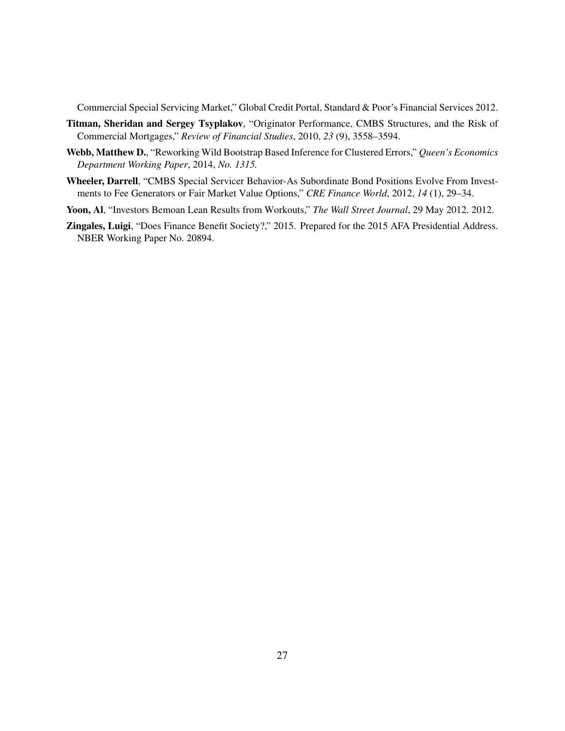Commercial Special Servicing Market," Global Credit Portal, Standard & Poor's Financial Services 2012.

- <span id="page-27-2"></span>Titman, Sheridan and Sergey Tsyplakov, "Originator Performance, CMBS Structures, and the Risk of Commercial Mortgages," *Review of Financial Studies*, 2010, *23* (9), 3558–3594.
- <span id="page-27-4"></span>Webb, Matthew D., "Reworking Wild Bootstrap Based Inference for Clustered Errors," *Queen's Economics Department Working Paper*, 2014, *No. 1315.*
- <span id="page-27-3"></span>Wheeler, Darrell, "CMBS Special Servicer Behavior-As Subordinate Bond Positions Evolve From Investments to Fee Generators or Fair Market Value Options," *CRE Finance World*, 2012, *14* (1), 29–34.
- <span id="page-27-1"></span>Yoon, Al, "Investors Bemoan Lean Results from Workouts," *The Wall Street Journal*, 29 May 2012. 2012.
- <span id="page-27-0"></span>Zingales, Luigi, "Does Finance Benefit Society?," 2015. Prepared for the 2015 AFA Presidential Address. NBER Working Paper No. 20894.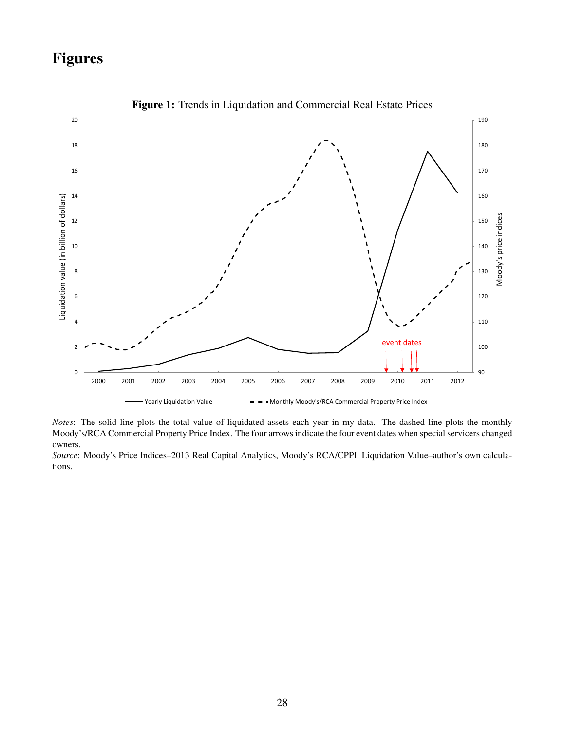# Figures

<span id="page-28-0"></span>

Figure 1: Trends in Liquidation and Commercial Real Estate Prices

Notes: The solid line plots the total value of liquidated assets each year in my data. The dashed line plots the monthly Moody's/RCA Commercial Property Price Index. The four arrows indicate the four event dates when special servicers changed owners.

*Source*: Moody's Price Indices–2013 Real Capital Analytics, Moody's RCA/CPPI. Liquidation Value–author's own calculations.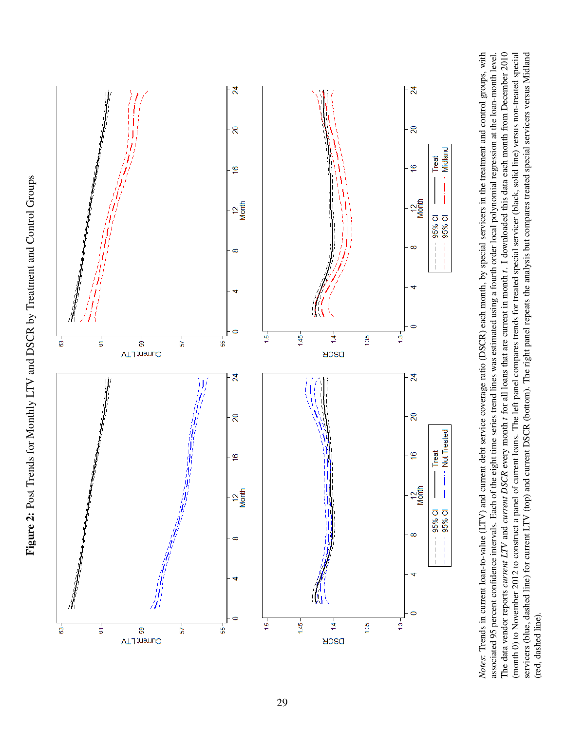<span id="page-29-0"></span>

The data vendor reports current LTV and current DSCR every month t for all loans that are current in month t. I downloaded this data each month from December 2010 Notes: Trends in current loan-to-value (LTV) and current debt service coverage ratio (DSCR) each month, by special servicers in the treatment and control groups, with associated 95 percent confidence intervals. Each of the eight time series trend lines was estimated using a fourth order local polynomial regression at the loan-month level. (month 0) to November 2012 to construct a panel of current loans. The left panel compares trends for treated special servicer (black, solid line) versus non-treated special servicers (blue, dashed line) for current LTV (top) and current DSCR (bottom). The right panel repeats the analysis but compares treated special servicers versus Midland *Notes*: Trends in current loan-to-value (LTV) and current debt service coverage ratio (DSCR) each month, by special servicers in the treatment and control groups, with servicers (blue, dashed line) for current LTV (top) and current DSCR (bottom). The right panel repeats the analysis but compares treated special servicers versus Midland associated 95 percent confidence intervals. Each of the eight time series trend lines was estimated using a fourth order local polynomial regression at the loan-month level. The data vendor reports *current LTV* and *current DSCR* every month *t* for all loans that are current in month *t*. I downloaded this data each month from December 2010 (month 0) to November 2012 to construct a panel of current loans. The left panel compares trends for treated special servicer (black, solid line) versus non-treated special (red, dashed line). (red, dashed line).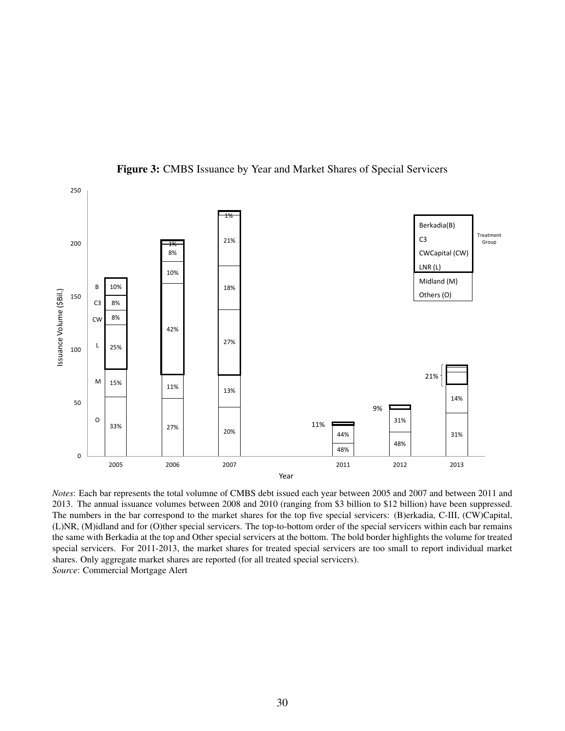<span id="page-30-0"></span>

Figure 3: CMBS Issuance by Year and Market Shares of Special Servicers

2013. The annual issuance volumes between 2008 and 2010 (ranging from \$3 billion to \$12 billion) have been suppressed. The numbers in the bar correspond to the market shares for the top five special servicers: (B)erkadia, C-III, (CW)Capital, (L)NR, (M)idland and for (O)ther special servicers. The top-to-bottom order of the special servicers within each bar remains the same with Berkadia at the top and Other special servicers at the bottom. The bold border highlights the volume for treated special servicers. For 2011-2013, the market shares for treated special servicers are too small to report individual market shares. Only aggregate market shares are reported (for all treated special servicers). *Source*: Commercial Mortgage Alert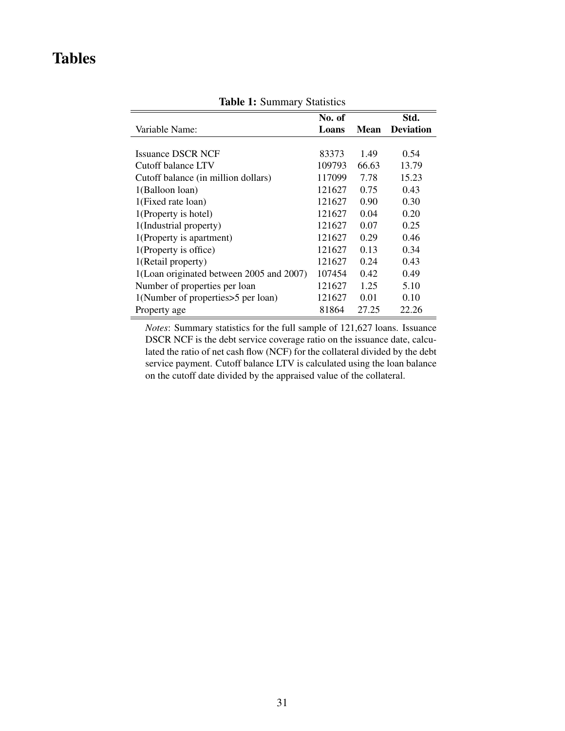# <span id="page-31-0"></span>Tables

|                                          | No. of |       | Std.             |
|------------------------------------------|--------|-------|------------------|
| Variable Name:                           | Loans  | Mean  | <b>Deviation</b> |
|                                          |        |       |                  |
| <b>Issuance DSCR NCF</b>                 | 83373  | 1.49  | 0.54             |
| Cutoff balance LTV                       | 109793 | 66.63 | 13.79            |
| Cutoff balance (in million dollars)      | 117099 | 7.78  | 15.23            |
| 1(Balloon loan)                          | 121627 | 0.75  | 0.43             |
| 1(Fixed rate loan)                       | 121627 | 0.90  | 0.30             |
| 1(Property is hotel)                     | 121627 | 0.04  | 0.20             |
| 1(Industrial property)                   | 121627 | 0.07  | 0.25             |
| 1(Property is apartment)                 | 121627 | 0.29  | 0.46             |
| 1(Property is office)                    | 121627 | 0.13  | 0.34             |
| 1(Retail property)                       | 121627 | 0.24  | 0.43             |
| 1(Loan originated between 2005 and 2007) | 107454 | 0.42  | 0.49             |
| Number of properties per loan            | 121627 | 1.25  | 5.10             |
| 1(Number of properties>5 per loan)       | 121627 | 0.01  | 0.10             |
| Property age                             | 81864  | 27.25 | 22.26            |

Table 1: Summary Statistics

*Notes*: Summary statistics for the full sample of 121,627 loans. Issuance DSCR NCF is the debt service coverage ratio on the issuance date, calculated the ratio of net cash flow (NCF) for the collateral divided by the debt service payment. Cutoff balance LTV is calculated using the loan balance on the cutoff date divided by the appraised value of the collateral.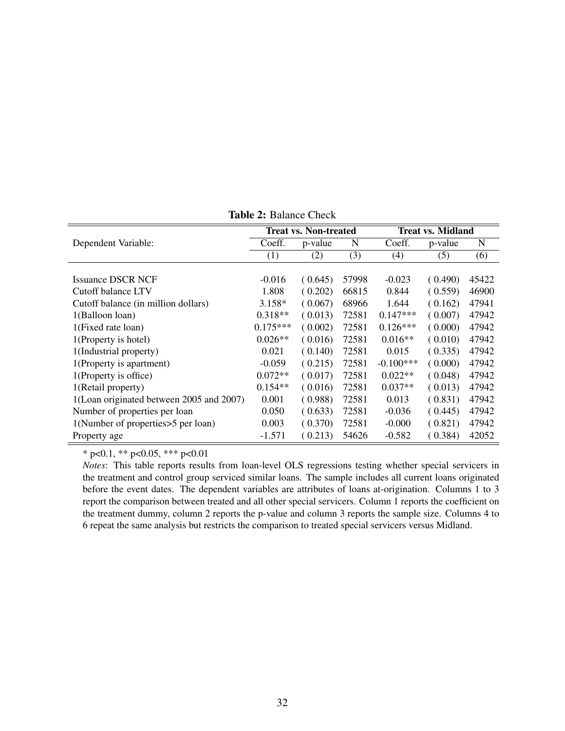<span id="page-32-0"></span>

|                                          | <b>Treat vs. Non-treated</b> |         |       | <b>Treat vs. Midland</b> |         |       |  |
|------------------------------------------|------------------------------|---------|-------|--------------------------|---------|-------|--|
|                                          |                              |         |       |                          |         |       |  |
| Dependent Variable:                      | Coeff.                       | p-value | N     | Coeff.                   | p-value | N     |  |
|                                          | (1)                          | (2)     | (3)   | (4)                      | (5)     | (6)   |  |
|                                          |                              |         |       |                          |         |       |  |
| <b>Issuance DSCR NCF</b>                 | $-0.016$                     | (0.645) | 57998 | $-0.023$                 | (0.490) | 45422 |  |
| Cutoff balance LTV                       | 1.808                        | (0.202) | 66815 | 0.844                    | (0.559) | 46900 |  |
| Cutoff balance (in million dollars)      | $3.158*$                     | (0.067) | 68966 | 1.644                    | (0.162) | 47941 |  |
| 1(Balloon loan)                          | $0.318**$                    | (0.013) | 72581 | $0.147***$               | (0.007) | 47942 |  |
| 1(Fixed rate loan)                       | $0.175***$                   | (0.002) | 72581 | $0.126***$               | (0.000) | 47942 |  |
| 1(Property is hotel)                     | $0.026**$                    | (0.016) | 72581 | $0.016**$                | (0.010) | 47942 |  |
| 1(Industrial property)                   | 0.021                        | (0.140) | 72581 | 0.015                    | (0.335) | 47942 |  |
| 1(Property is apartment)                 | $-0.059$                     | (0.215) | 72581 | $-0.100***$              | (0.000) | 47942 |  |
| 1(Property is office)                    | $0.072**$                    | (0.017) | 72581 | $0.022**$                | (0.048) | 47942 |  |
| 1(Retail property)                       | $0.154**$                    | (0.016) | 72581 | $0.037**$                | (0.013) | 47942 |  |
| 1(Loan originated between 2005 and 2007) | 0.001                        | (0.988) | 72581 | 0.013                    | (0.831) | 47942 |  |
| Number of properties per loan            | 0.050                        | (0.633) | 72581 | $-0.036$                 | (0.445) | 47942 |  |
| 1(Number of properties > 5 per loan)     | 0.003                        | (0.370) | 72581 | $-0.000$                 | (0.821) | 47942 |  |
| Property age                             | $-1.571$                     | (0.213) | 54626 | $-0.582$                 | (0.384) | 42052 |  |

Table 2: Balance Check

\* p<0.1, \*\* p<0.05, \*\*\* p<0.01

*Notes*: This table reports results from loan-level OLS regressions testing whether special servicers in the treatment and control group serviced similar loans. The sample includes all current loans originated before the event dates. The dependent variables are attributes of loans at-origination. Columns 1 to 3 report the comparison between treated and all other special servicers. Column 1 reports the coefficient on the treatment dummy, column 2 reports the p-value and column 3 reports the sample size. Columns 4 to 6 repeat the same analysis but restricts the comparison to treated special servicers versus Midland.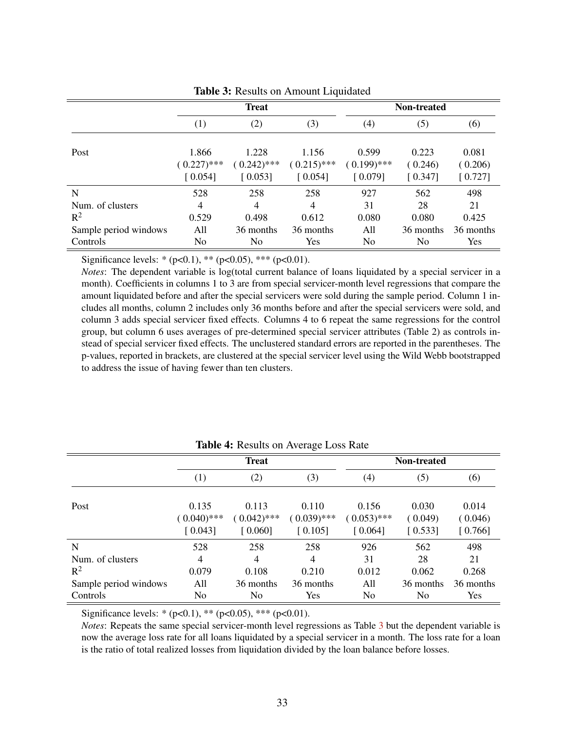<span id="page-33-0"></span>

|                       | <b>Treat</b>           |                        |                        | Non-treated            |                  |                  |  |
|-----------------------|------------------------|------------------------|------------------------|------------------------|------------------|------------------|--|
|                       | (1)                    | (2)                    | (3)                    | (4)                    | (5)              | (6)              |  |
| Post                  | 1.866<br>$(0.227)$ *** | 1.228<br>$(0.242)$ *** | 1.156<br>$(0.215)$ *** | 0.599<br>$(0.199)$ *** | 0.223<br>(0.246) | 0.081<br>(0.206) |  |
|                       | [0.054]                | [0.053]                | [0.054]                | [0.079]                | [0.347]          | [0.727]          |  |
| N                     | 528                    | 258                    | 258                    | 927                    | 562              | 498              |  |
| Num. of clusters      | $\overline{4}$         | $\overline{4}$         | 4                      | 31                     | 28               | 21               |  |
| $R^2$                 | 0.529                  | 0.498                  | 0.612                  | 0.080                  | 0.080            | 0.425            |  |
| Sample period windows | All                    | 36 months              | 36 months              | All                    | 36 months        | 36 months        |  |
| Controls              | No                     | No                     | Yes                    | No                     | N <sub>0</sub>   | Yes              |  |

Table 3: Results on Amount Liquidated

Significance levels: \*  $(p<0.1)$ , \*\*  $(p<0.05)$ , \*\*\*  $(p<0.01)$ .

*Notes*: The dependent variable is log(total current balance of loans liquidated by a special servicer in a month). Coefficients in columns 1 to 3 are from special servicer-month level regressions that compare the amount liquidated before and after the special servicers were sold during the sample period. Column 1 includes all months, column 2 includes only 36 months before and after the special servicers were sold, and column 3 adds special servicer fixed effects. Columns 4 to 6 repeat the same regressions for the control group, but column 6 uses averages of pre-determined special servicer attributes (Table 2) as controls instead of special servicer fixed effects. The unclustered standard errors are reported in the parentheses. The p-values, reported in brackets, are clustered at the special servicer level using the Wild Webb bootstrapped to address the issue of having fewer than ten clusters.

<span id="page-33-1"></span>

|                       | ັ<br><b>Treat</b>                 |                                   |                                   | Non-treated                       |                             |                             |  |
|-----------------------|-----------------------------------|-----------------------------------|-----------------------------------|-----------------------------------|-----------------------------|-----------------------------|--|
|                       | (1)                               | (2)                               | (3)                               | (4)                               | (5)                         | (6)                         |  |
| Post                  | 0.135<br>$(0.040)$ ***<br>[0.043] | 0.113<br>$(0.042)$ ***<br>[0.060] | 0.110<br>$(0.039)$ ***<br>[0.105] | 0.156<br>$(0.053)$ ***<br>[0.064] | 0.030<br>(0.049)<br>[0.533] | 0.014<br>(0.046)<br>[0.766] |  |
| N                     | 528                               | 258                               | 258                               | 926                               | 562                         | 498                         |  |
| Num. of clusters      | $\overline{4}$                    | 4                                 | 4                                 | 31                                | 28                          | 21                          |  |
| $R^2$                 | 0.079                             | 0.108                             | 0.210                             | 0.012                             | 0.062                       | 0.268                       |  |
| Sample period windows | All                               | 36 months                         | 36 months                         | All                               | 36 months                   | 36 months                   |  |
| Controls              | No                                | N <sub>0</sub>                    | Yes                               | No.                               | N <sub>0</sub>              | Yes                         |  |

#### Table 4: Results on Average Loss Rate

Significance levels: \*  $(p<0.1)$ , \*\*  $(p<0.05)$ , \*\*\*  $(p<0.01)$ .

*Notes*: Repeats the same special servicer-month level regressions as Table [3](#page-33-0) but the dependent variable is now the average loss rate for all loans liquidated by a special servicer in a month. The loss rate for a loan is the ratio of total realized losses from liquidation divided by the loan balance before losses.